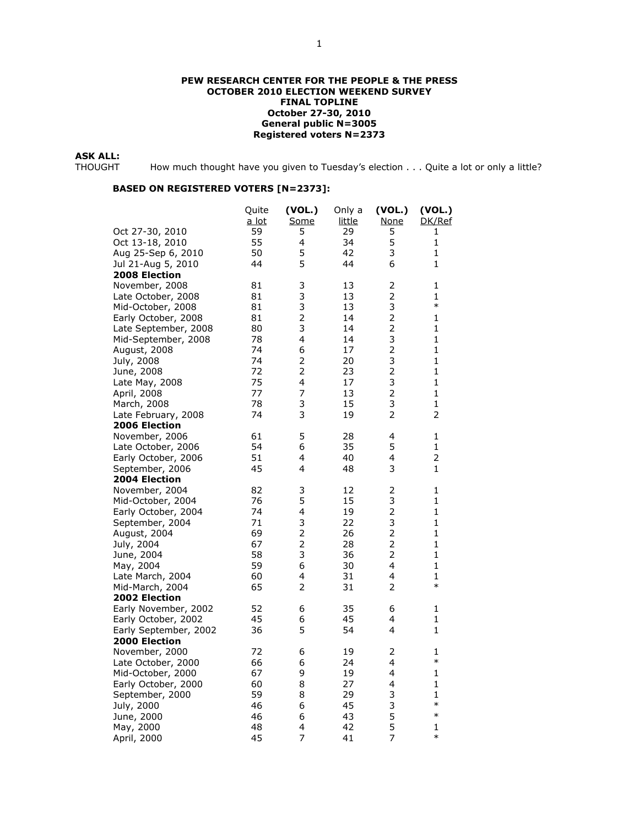#### PEW RESEARCH CENTER FOR THE PEOPLE & THE PRESS OCTOBER 2010 ELECTION WEEKEND SURVEY FINAL TOPLINE October 27-30, 2010 General public N=3005 Registered voters N=2373

**ASK ALL:**<br>THOUGHT

How much thought have you given to Tuesday's election . . . Quite a lot or only a little?

| Oct 27-30, 2010<br>59<br>5<br>29<br>5<br>1<br>5<br>55<br>4<br>34<br>1<br>Oct 13-18, 2010<br>5<br>3<br>50<br>42<br>1<br>Aug 25-Sep 6, 2010<br>5<br>44<br>6<br>1<br>44<br>Jul 21-Aug 5, 2010<br><b>2008 Election</b><br>November, 2008<br>3<br>2<br>81<br>13<br>1<br>3<br>$\overline{2}$<br>1<br>81<br>13<br>Late October, 2008<br>3<br>3<br>$\ast$<br>81<br>13<br>Mid-October, 2008<br>$\overline{2}$<br>$\overline{2}$<br>1<br>Early October, 2008<br>81<br>14<br>3<br>$\overline{2}$<br>1<br>Late September, 2008<br>80<br>14<br>3<br>4<br>78<br>14<br>1<br>Mid-September, 2008<br>$\overline{2}$<br>6<br>August, 2008<br>74<br>17<br>1<br>$\overline{c}$<br>3<br>74<br>20<br>1<br>July, 2008<br>$\overline{2}$<br>$\overline{2}$<br>72<br>23<br>June, 2008<br>1<br>3<br>4<br>Late May, 2008<br>75<br>17<br>1<br>$\overline{7}$<br>$\overline{2}$<br>77<br>April, 2008<br>13<br>1<br>3<br>3<br>78<br>March, 2008<br>15<br>1<br>3<br>2<br>2<br>74<br>Late February, 2008<br>19<br><b>2006 Election</b><br>5<br>61<br>28<br>4<br>1<br>November, 2006<br>54<br>6<br>35<br>5<br>1<br>Late October, 2006<br>2<br>51<br>4<br>40<br>4<br>Early October, 2006<br>45<br>3<br>1<br>September, 2006<br>4<br>48<br><b>2004 Election</b><br>$\overline{2}$<br>November, 2004<br>82<br>3<br>12<br>1<br>5<br>3<br>Mid-October, 2004<br>76<br>15<br>1<br>$\mathbf 2$<br>4<br>19<br>Early October, 2004<br>74<br>1<br>3<br>3<br>September, 2004<br>71<br>22<br>1<br>$\overline{c}$<br>$\overline{2}$<br>69<br>1<br>August, 2004<br>26<br>$\overline{c}$<br>$\overline{2}$<br>1<br>July, 2004<br>67<br>28<br>3<br>$\overline{2}$<br>58<br>36<br>1<br>June, 2004<br>6<br>4<br>59<br>30<br>1<br>May, 2004<br>4<br>60<br>4<br>1<br>Late March, 2004<br>31<br>$\ast$<br>65<br>2<br>2<br>Mid-March, 2004<br>31<br><b>2002 Election</b><br>Early November, 2002<br>6<br>35<br>6<br>1<br>52<br>45<br>6<br>45<br>4<br>1<br>Early October, 2002<br>5<br>36<br>54<br>4<br>1<br>Early September, 2002<br><b>2000 Election</b><br>2<br>November, 2000<br>72<br>6<br>19<br>1<br>$\ast$<br>4<br>Late October, 2000<br>66<br>6<br>24<br>9<br>Mid-October, 2000<br>67<br>19<br>4<br>1<br>8<br>Early October, 2000<br>60<br>27<br>4<br>1<br>59<br>8<br>29<br>3<br>September, 2000<br>1<br>3<br>$\ast$<br>6<br>45<br>July, 2000<br>46<br>5<br>$\ast$<br>46<br>6<br>43<br>June, 2000<br>5<br>48<br>4<br>42<br>May, 2000<br>1<br>$\ast$<br>45<br>7<br>7<br>April, 2000<br>41 |  | Quite<br>a lot | (VOL.)<br>Some | Only a<br>little | (VOL.)<br>None | (VOL.)<br>DK/Ref |
|-----------------------------------------------------------------------------------------------------------------------------------------------------------------------------------------------------------------------------------------------------------------------------------------------------------------------------------------------------------------------------------------------------------------------------------------------------------------------------------------------------------------------------------------------------------------------------------------------------------------------------------------------------------------------------------------------------------------------------------------------------------------------------------------------------------------------------------------------------------------------------------------------------------------------------------------------------------------------------------------------------------------------------------------------------------------------------------------------------------------------------------------------------------------------------------------------------------------------------------------------------------------------------------------------------------------------------------------------------------------------------------------------------------------------------------------------------------------------------------------------------------------------------------------------------------------------------------------------------------------------------------------------------------------------------------------------------------------------------------------------------------------------------------------------------------------------------------------------------------------------------------------------------------------------------------------------------------------------------------------------------------------------------------------------------------------------------------------------------------------------------------------------------------------------------------------------------------------------------------------------------------------------------------------------------------------------------------------------------------------------------------------------------------------------------------------|--|----------------|----------------|------------------|----------------|------------------|
|                                                                                                                                                                                                                                                                                                                                                                                                                                                                                                                                                                                                                                                                                                                                                                                                                                                                                                                                                                                                                                                                                                                                                                                                                                                                                                                                                                                                                                                                                                                                                                                                                                                                                                                                                                                                                                                                                                                                                                                                                                                                                                                                                                                                                                                                                                                                                                                                                                         |  |                |                |                  |                |                  |
|                                                                                                                                                                                                                                                                                                                                                                                                                                                                                                                                                                                                                                                                                                                                                                                                                                                                                                                                                                                                                                                                                                                                                                                                                                                                                                                                                                                                                                                                                                                                                                                                                                                                                                                                                                                                                                                                                                                                                                                                                                                                                                                                                                                                                                                                                                                                                                                                                                         |  |                |                |                  |                |                  |
|                                                                                                                                                                                                                                                                                                                                                                                                                                                                                                                                                                                                                                                                                                                                                                                                                                                                                                                                                                                                                                                                                                                                                                                                                                                                                                                                                                                                                                                                                                                                                                                                                                                                                                                                                                                                                                                                                                                                                                                                                                                                                                                                                                                                                                                                                                                                                                                                                                         |  |                |                |                  |                |                  |
|                                                                                                                                                                                                                                                                                                                                                                                                                                                                                                                                                                                                                                                                                                                                                                                                                                                                                                                                                                                                                                                                                                                                                                                                                                                                                                                                                                                                                                                                                                                                                                                                                                                                                                                                                                                                                                                                                                                                                                                                                                                                                                                                                                                                                                                                                                                                                                                                                                         |  |                |                |                  |                |                  |
|                                                                                                                                                                                                                                                                                                                                                                                                                                                                                                                                                                                                                                                                                                                                                                                                                                                                                                                                                                                                                                                                                                                                                                                                                                                                                                                                                                                                                                                                                                                                                                                                                                                                                                                                                                                                                                                                                                                                                                                                                                                                                                                                                                                                                                                                                                                                                                                                                                         |  |                |                |                  |                |                  |
|                                                                                                                                                                                                                                                                                                                                                                                                                                                                                                                                                                                                                                                                                                                                                                                                                                                                                                                                                                                                                                                                                                                                                                                                                                                                                                                                                                                                                                                                                                                                                                                                                                                                                                                                                                                                                                                                                                                                                                                                                                                                                                                                                                                                                                                                                                                                                                                                                                         |  |                |                |                  |                |                  |
|                                                                                                                                                                                                                                                                                                                                                                                                                                                                                                                                                                                                                                                                                                                                                                                                                                                                                                                                                                                                                                                                                                                                                                                                                                                                                                                                                                                                                                                                                                                                                                                                                                                                                                                                                                                                                                                                                                                                                                                                                                                                                                                                                                                                                                                                                                                                                                                                                                         |  |                |                |                  |                |                  |
|                                                                                                                                                                                                                                                                                                                                                                                                                                                                                                                                                                                                                                                                                                                                                                                                                                                                                                                                                                                                                                                                                                                                                                                                                                                                                                                                                                                                                                                                                                                                                                                                                                                                                                                                                                                                                                                                                                                                                                                                                                                                                                                                                                                                                                                                                                                                                                                                                                         |  |                |                |                  |                |                  |
|                                                                                                                                                                                                                                                                                                                                                                                                                                                                                                                                                                                                                                                                                                                                                                                                                                                                                                                                                                                                                                                                                                                                                                                                                                                                                                                                                                                                                                                                                                                                                                                                                                                                                                                                                                                                                                                                                                                                                                                                                                                                                                                                                                                                                                                                                                                                                                                                                                         |  |                |                |                  |                |                  |
|                                                                                                                                                                                                                                                                                                                                                                                                                                                                                                                                                                                                                                                                                                                                                                                                                                                                                                                                                                                                                                                                                                                                                                                                                                                                                                                                                                                                                                                                                                                                                                                                                                                                                                                                                                                                                                                                                                                                                                                                                                                                                                                                                                                                                                                                                                                                                                                                                                         |  |                |                |                  |                |                  |
|                                                                                                                                                                                                                                                                                                                                                                                                                                                                                                                                                                                                                                                                                                                                                                                                                                                                                                                                                                                                                                                                                                                                                                                                                                                                                                                                                                                                                                                                                                                                                                                                                                                                                                                                                                                                                                                                                                                                                                                                                                                                                                                                                                                                                                                                                                                                                                                                                                         |  |                |                |                  |                |                  |
|                                                                                                                                                                                                                                                                                                                                                                                                                                                                                                                                                                                                                                                                                                                                                                                                                                                                                                                                                                                                                                                                                                                                                                                                                                                                                                                                                                                                                                                                                                                                                                                                                                                                                                                                                                                                                                                                                                                                                                                                                                                                                                                                                                                                                                                                                                                                                                                                                                         |  |                |                |                  |                |                  |
|                                                                                                                                                                                                                                                                                                                                                                                                                                                                                                                                                                                                                                                                                                                                                                                                                                                                                                                                                                                                                                                                                                                                                                                                                                                                                                                                                                                                                                                                                                                                                                                                                                                                                                                                                                                                                                                                                                                                                                                                                                                                                                                                                                                                                                                                                                                                                                                                                                         |  |                |                |                  |                |                  |
|                                                                                                                                                                                                                                                                                                                                                                                                                                                                                                                                                                                                                                                                                                                                                                                                                                                                                                                                                                                                                                                                                                                                                                                                                                                                                                                                                                                                                                                                                                                                                                                                                                                                                                                                                                                                                                                                                                                                                                                                                                                                                                                                                                                                                                                                                                                                                                                                                                         |  |                |                |                  |                |                  |
|                                                                                                                                                                                                                                                                                                                                                                                                                                                                                                                                                                                                                                                                                                                                                                                                                                                                                                                                                                                                                                                                                                                                                                                                                                                                                                                                                                                                                                                                                                                                                                                                                                                                                                                                                                                                                                                                                                                                                                                                                                                                                                                                                                                                                                                                                                                                                                                                                                         |  |                |                |                  |                |                  |
|                                                                                                                                                                                                                                                                                                                                                                                                                                                                                                                                                                                                                                                                                                                                                                                                                                                                                                                                                                                                                                                                                                                                                                                                                                                                                                                                                                                                                                                                                                                                                                                                                                                                                                                                                                                                                                                                                                                                                                                                                                                                                                                                                                                                                                                                                                                                                                                                                                         |  |                |                |                  |                |                  |
|                                                                                                                                                                                                                                                                                                                                                                                                                                                                                                                                                                                                                                                                                                                                                                                                                                                                                                                                                                                                                                                                                                                                                                                                                                                                                                                                                                                                                                                                                                                                                                                                                                                                                                                                                                                                                                                                                                                                                                                                                                                                                                                                                                                                                                                                                                                                                                                                                                         |  |                |                |                  |                |                  |
|                                                                                                                                                                                                                                                                                                                                                                                                                                                                                                                                                                                                                                                                                                                                                                                                                                                                                                                                                                                                                                                                                                                                                                                                                                                                                                                                                                                                                                                                                                                                                                                                                                                                                                                                                                                                                                                                                                                                                                                                                                                                                                                                                                                                                                                                                                                                                                                                                                         |  |                |                |                  |                |                  |
|                                                                                                                                                                                                                                                                                                                                                                                                                                                                                                                                                                                                                                                                                                                                                                                                                                                                                                                                                                                                                                                                                                                                                                                                                                                                                                                                                                                                                                                                                                                                                                                                                                                                                                                                                                                                                                                                                                                                                                                                                                                                                                                                                                                                                                                                                                                                                                                                                                         |  |                |                |                  |                |                  |
|                                                                                                                                                                                                                                                                                                                                                                                                                                                                                                                                                                                                                                                                                                                                                                                                                                                                                                                                                                                                                                                                                                                                                                                                                                                                                                                                                                                                                                                                                                                                                                                                                                                                                                                                                                                                                                                                                                                                                                                                                                                                                                                                                                                                                                                                                                                                                                                                                                         |  |                |                |                  |                |                  |
|                                                                                                                                                                                                                                                                                                                                                                                                                                                                                                                                                                                                                                                                                                                                                                                                                                                                                                                                                                                                                                                                                                                                                                                                                                                                                                                                                                                                                                                                                                                                                                                                                                                                                                                                                                                                                                                                                                                                                                                                                                                                                                                                                                                                                                                                                                                                                                                                                                         |  |                |                |                  |                |                  |
|                                                                                                                                                                                                                                                                                                                                                                                                                                                                                                                                                                                                                                                                                                                                                                                                                                                                                                                                                                                                                                                                                                                                                                                                                                                                                                                                                                                                                                                                                                                                                                                                                                                                                                                                                                                                                                                                                                                                                                                                                                                                                                                                                                                                                                                                                                                                                                                                                                         |  |                |                |                  |                |                  |
|                                                                                                                                                                                                                                                                                                                                                                                                                                                                                                                                                                                                                                                                                                                                                                                                                                                                                                                                                                                                                                                                                                                                                                                                                                                                                                                                                                                                                                                                                                                                                                                                                                                                                                                                                                                                                                                                                                                                                                                                                                                                                                                                                                                                                                                                                                                                                                                                                                         |  |                |                |                  |                |                  |
|                                                                                                                                                                                                                                                                                                                                                                                                                                                                                                                                                                                                                                                                                                                                                                                                                                                                                                                                                                                                                                                                                                                                                                                                                                                                                                                                                                                                                                                                                                                                                                                                                                                                                                                                                                                                                                                                                                                                                                                                                                                                                                                                                                                                                                                                                                                                                                                                                                         |  |                |                |                  |                |                  |
|                                                                                                                                                                                                                                                                                                                                                                                                                                                                                                                                                                                                                                                                                                                                                                                                                                                                                                                                                                                                                                                                                                                                                                                                                                                                                                                                                                                                                                                                                                                                                                                                                                                                                                                                                                                                                                                                                                                                                                                                                                                                                                                                                                                                                                                                                                                                                                                                                                         |  |                |                |                  |                |                  |
|                                                                                                                                                                                                                                                                                                                                                                                                                                                                                                                                                                                                                                                                                                                                                                                                                                                                                                                                                                                                                                                                                                                                                                                                                                                                                                                                                                                                                                                                                                                                                                                                                                                                                                                                                                                                                                                                                                                                                                                                                                                                                                                                                                                                                                                                                                                                                                                                                                         |  |                |                |                  |                |                  |
|                                                                                                                                                                                                                                                                                                                                                                                                                                                                                                                                                                                                                                                                                                                                                                                                                                                                                                                                                                                                                                                                                                                                                                                                                                                                                                                                                                                                                                                                                                                                                                                                                                                                                                                                                                                                                                                                                                                                                                                                                                                                                                                                                                                                                                                                                                                                                                                                                                         |  |                |                |                  |                |                  |
|                                                                                                                                                                                                                                                                                                                                                                                                                                                                                                                                                                                                                                                                                                                                                                                                                                                                                                                                                                                                                                                                                                                                                                                                                                                                                                                                                                                                                                                                                                                                                                                                                                                                                                                                                                                                                                                                                                                                                                                                                                                                                                                                                                                                                                                                                                                                                                                                                                         |  |                |                |                  |                |                  |
|                                                                                                                                                                                                                                                                                                                                                                                                                                                                                                                                                                                                                                                                                                                                                                                                                                                                                                                                                                                                                                                                                                                                                                                                                                                                                                                                                                                                                                                                                                                                                                                                                                                                                                                                                                                                                                                                                                                                                                                                                                                                                                                                                                                                                                                                                                                                                                                                                                         |  |                |                |                  |                |                  |
|                                                                                                                                                                                                                                                                                                                                                                                                                                                                                                                                                                                                                                                                                                                                                                                                                                                                                                                                                                                                                                                                                                                                                                                                                                                                                                                                                                                                                                                                                                                                                                                                                                                                                                                                                                                                                                                                                                                                                                                                                                                                                                                                                                                                                                                                                                                                                                                                                                         |  |                |                |                  |                |                  |
|                                                                                                                                                                                                                                                                                                                                                                                                                                                                                                                                                                                                                                                                                                                                                                                                                                                                                                                                                                                                                                                                                                                                                                                                                                                                                                                                                                                                                                                                                                                                                                                                                                                                                                                                                                                                                                                                                                                                                                                                                                                                                                                                                                                                                                                                                                                                                                                                                                         |  |                |                |                  |                |                  |
|                                                                                                                                                                                                                                                                                                                                                                                                                                                                                                                                                                                                                                                                                                                                                                                                                                                                                                                                                                                                                                                                                                                                                                                                                                                                                                                                                                                                                                                                                                                                                                                                                                                                                                                                                                                                                                                                                                                                                                                                                                                                                                                                                                                                                                                                                                                                                                                                                                         |  |                |                |                  |                |                  |
|                                                                                                                                                                                                                                                                                                                                                                                                                                                                                                                                                                                                                                                                                                                                                                                                                                                                                                                                                                                                                                                                                                                                                                                                                                                                                                                                                                                                                                                                                                                                                                                                                                                                                                                                                                                                                                                                                                                                                                                                                                                                                                                                                                                                                                                                                                                                                                                                                                         |  |                |                |                  |                |                  |
|                                                                                                                                                                                                                                                                                                                                                                                                                                                                                                                                                                                                                                                                                                                                                                                                                                                                                                                                                                                                                                                                                                                                                                                                                                                                                                                                                                                                                                                                                                                                                                                                                                                                                                                                                                                                                                                                                                                                                                                                                                                                                                                                                                                                                                                                                                                                                                                                                                         |  |                |                |                  |                |                  |
|                                                                                                                                                                                                                                                                                                                                                                                                                                                                                                                                                                                                                                                                                                                                                                                                                                                                                                                                                                                                                                                                                                                                                                                                                                                                                                                                                                                                                                                                                                                                                                                                                                                                                                                                                                                                                                                                                                                                                                                                                                                                                                                                                                                                                                                                                                                                                                                                                                         |  |                |                |                  |                |                  |
|                                                                                                                                                                                                                                                                                                                                                                                                                                                                                                                                                                                                                                                                                                                                                                                                                                                                                                                                                                                                                                                                                                                                                                                                                                                                                                                                                                                                                                                                                                                                                                                                                                                                                                                                                                                                                                                                                                                                                                                                                                                                                                                                                                                                                                                                                                                                                                                                                                         |  |                |                |                  |                |                  |
|                                                                                                                                                                                                                                                                                                                                                                                                                                                                                                                                                                                                                                                                                                                                                                                                                                                                                                                                                                                                                                                                                                                                                                                                                                                                                                                                                                                                                                                                                                                                                                                                                                                                                                                                                                                                                                                                                                                                                                                                                                                                                                                                                                                                                                                                                                                                                                                                                                         |  |                |                |                  |                |                  |
|                                                                                                                                                                                                                                                                                                                                                                                                                                                                                                                                                                                                                                                                                                                                                                                                                                                                                                                                                                                                                                                                                                                                                                                                                                                                                                                                                                                                                                                                                                                                                                                                                                                                                                                                                                                                                                                                                                                                                                                                                                                                                                                                                                                                                                                                                                                                                                                                                                         |  |                |                |                  |                |                  |
|                                                                                                                                                                                                                                                                                                                                                                                                                                                                                                                                                                                                                                                                                                                                                                                                                                                                                                                                                                                                                                                                                                                                                                                                                                                                                                                                                                                                                                                                                                                                                                                                                                                                                                                                                                                                                                                                                                                                                                                                                                                                                                                                                                                                                                                                                                                                                                                                                                         |  |                |                |                  |                |                  |
|                                                                                                                                                                                                                                                                                                                                                                                                                                                                                                                                                                                                                                                                                                                                                                                                                                                                                                                                                                                                                                                                                                                                                                                                                                                                                                                                                                                                                                                                                                                                                                                                                                                                                                                                                                                                                                                                                                                                                                                                                                                                                                                                                                                                                                                                                                                                                                                                                                         |  |                |                |                  |                |                  |
|                                                                                                                                                                                                                                                                                                                                                                                                                                                                                                                                                                                                                                                                                                                                                                                                                                                                                                                                                                                                                                                                                                                                                                                                                                                                                                                                                                                                                                                                                                                                                                                                                                                                                                                                                                                                                                                                                                                                                                                                                                                                                                                                                                                                                                                                                                                                                                                                                                         |  |                |                |                  |                |                  |
|                                                                                                                                                                                                                                                                                                                                                                                                                                                                                                                                                                                                                                                                                                                                                                                                                                                                                                                                                                                                                                                                                                                                                                                                                                                                                                                                                                                                                                                                                                                                                                                                                                                                                                                                                                                                                                                                                                                                                                                                                                                                                                                                                                                                                                                                                                                                                                                                                                         |  |                |                |                  |                |                  |
|                                                                                                                                                                                                                                                                                                                                                                                                                                                                                                                                                                                                                                                                                                                                                                                                                                                                                                                                                                                                                                                                                                                                                                                                                                                                                                                                                                                                                                                                                                                                                                                                                                                                                                                                                                                                                                                                                                                                                                                                                                                                                                                                                                                                                                                                                                                                                                                                                                         |  |                |                |                  |                |                  |
|                                                                                                                                                                                                                                                                                                                                                                                                                                                                                                                                                                                                                                                                                                                                                                                                                                                                                                                                                                                                                                                                                                                                                                                                                                                                                                                                                                                                                                                                                                                                                                                                                                                                                                                                                                                                                                                                                                                                                                                                                                                                                                                                                                                                                                                                                                                                                                                                                                         |  |                |                |                  |                |                  |
|                                                                                                                                                                                                                                                                                                                                                                                                                                                                                                                                                                                                                                                                                                                                                                                                                                                                                                                                                                                                                                                                                                                                                                                                                                                                                                                                                                                                                                                                                                                                                                                                                                                                                                                                                                                                                                                                                                                                                                                                                                                                                                                                                                                                                                                                                                                                                                                                                                         |  |                |                |                  |                |                  |
|                                                                                                                                                                                                                                                                                                                                                                                                                                                                                                                                                                                                                                                                                                                                                                                                                                                                                                                                                                                                                                                                                                                                                                                                                                                                                                                                                                                                                                                                                                                                                                                                                                                                                                                                                                                                                                                                                                                                                                                                                                                                                                                                                                                                                                                                                                                                                                                                                                         |  |                |                |                  |                |                  |
|                                                                                                                                                                                                                                                                                                                                                                                                                                                                                                                                                                                                                                                                                                                                                                                                                                                                                                                                                                                                                                                                                                                                                                                                                                                                                                                                                                                                                                                                                                                                                                                                                                                                                                                                                                                                                                                                                                                                                                                                                                                                                                                                                                                                                                                                                                                                                                                                                                         |  |                |                |                  |                |                  |
|                                                                                                                                                                                                                                                                                                                                                                                                                                                                                                                                                                                                                                                                                                                                                                                                                                                                                                                                                                                                                                                                                                                                                                                                                                                                                                                                                                                                                                                                                                                                                                                                                                                                                                                                                                                                                                                                                                                                                                                                                                                                                                                                                                                                                                                                                                                                                                                                                                         |  |                |                |                  |                |                  |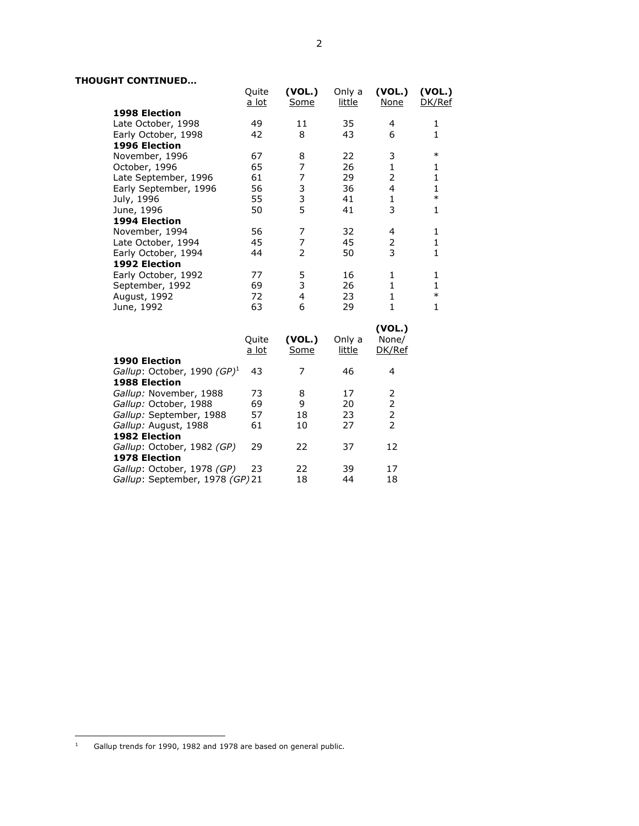# THOUGHT CONTINUED…

|                                         | Quite<br><u>a lot</u> | (VOL.)<br>Some | Only a<br><u>little</u> | (VOL.)<br>None | (VOL.)<br>DK/Ref |
|-----------------------------------------|-----------------------|----------------|-------------------------|----------------|------------------|
| <b>1998 Election</b>                    |                       |                |                         |                |                  |
| Late October, 1998                      | 49                    | 11             | 35                      | 4              | 1                |
| Early October, 1998                     | 42                    | 8              | 43                      | 6              | $\mathbf{1}$     |
| 1996 Election                           |                       |                |                         |                |                  |
| November, 1996                          | 67                    | 8              | 22                      | 3              | $\ast$           |
| October, 1996                           | 65                    | $\overline{7}$ | 26                      | $\mathbf{1}$   | 1                |
| Late September, 1996                    | 61                    | $\overline{7}$ | 29                      | 2              | $\mathbf{1}$     |
| Early September, 1996                   | 56                    | 3              | 36                      | $\overline{4}$ | $\mathbf{1}$     |
| July, 1996                              | 55                    | 3              | 41                      | $\mathbf{1}$   | $\ast$           |
| June, 1996                              | 50                    | 5              | 41                      | 3              | 1                |
| 1994 Election                           |                       |                |                         |                |                  |
| November, 1994                          | 56                    | 7              | 32                      | 4              | $\mathbf{1}$     |
| Late October, 1994                      | 45                    | $\overline{7}$ | 45                      | $\overline{2}$ | $\mathbf{1}$     |
| Early October, 1994                     | 44                    | $\overline{2}$ | 50                      | 3              | $\mathbf{1}$     |
| 1992 Election                           |                       |                |                         |                |                  |
| Early October, 1992                     | 77                    | 5              | 16                      | 1              | 1                |
| September, 1992                         | 69                    | 3              | 26                      | $\mathbf{1}$   | $\mathbf{1}$     |
| August, 1992                            | 72                    | $\overline{4}$ | 23                      | $\mathbf{1}$   | $\ast$           |
| June, 1992                              | 63                    | 6              | 29                      | $\mathbf{1}$   | $\mathbf{1}$     |
|                                         |                       |                |                         |                |                  |
|                                         |                       |                |                         | (VOL.)         |                  |
|                                         | Quite                 | (VOL.)         | Only a                  | None/          |                  |
|                                         | a lot                 | Some           | little                  | DK/Ref         |                  |
| 1990 Election                           |                       |                |                         |                |                  |
| Gallup: October, 1990 (GP) <sup>1</sup> | 43                    | 7              | 46                      | 4              |                  |
| 1988 Election                           |                       |                |                         |                |                  |
| Gallup: November, 1988                  | 73                    | 8              | 17                      | 2              |                  |
| Gallup: October, 1988                   | 69                    | 9              | 20                      | 2              |                  |
| Gallup: September, 1988                 | 57                    | 18             | 23                      | $\overline{2}$ |                  |
| Gallup: August, 1988                    | 61                    | 10             | 27                      | $\overline{2}$ |                  |
| <b>1982 Election</b>                    |                       |                |                         |                |                  |
| Gallup: October, 1982 (GP)              | 29                    | 22             | 37                      | 12             |                  |
| 1978 Election                           |                       |                |                         |                |                  |
| Gallup: October, 1978 (GP)              | 23                    | 22             | 39                      | 17             |                  |
| Gallup: September, 1978 (GP) 21         |                       | 18             | 44                      | 18             |                  |
|                                         |                       |                |                         |                |                  |

<sup>1</sup> Gallup trends for 1990, 1982 and 1978 are based on general public.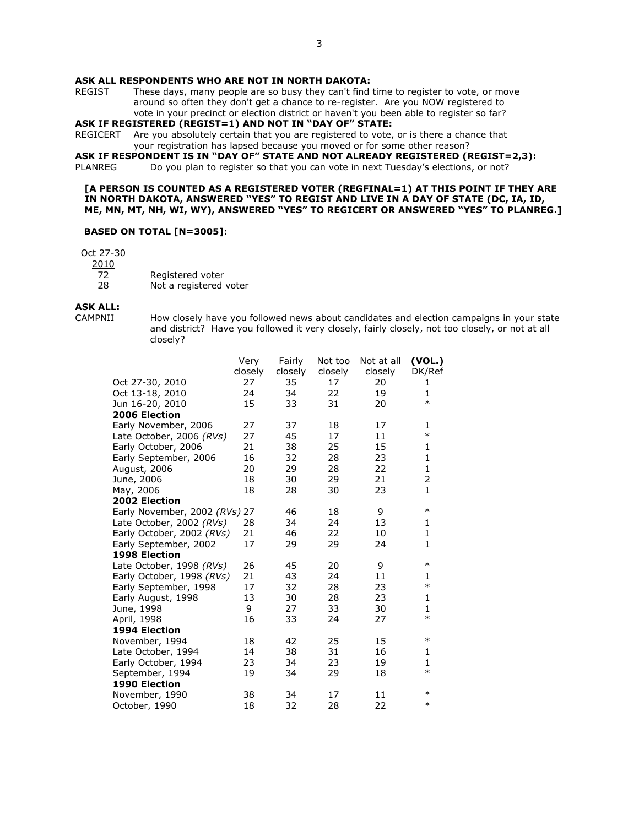#### ASK ALL RESPONDENTS WHO ARE NOT IN NORTH DAKOTA:

REGIST These days, many people are so busy they can't find time to register to vote, or move around so often they don't get a chance to re-register. Are you NOW registered to vote in your precinct or election district or haven't you been able to register so far?

ASK IF REGISTERED (REGIST=1) AND NOT IN "DAY OF" STATE:

REGICERT Are you absolutely certain that you are registered to vote, or is there a chance that your registration has lapsed because you moved or for some other reason?

ASK IF RESPONDENT IS IN "DAY OF" STATE AND NOT ALREADY REGISTERED (REGIST=2,3):<br>PLANREG Do you plan to register so that you can vote in next Tuesday's elections, or not?

Do you plan to register so that you can vote in next Tuesday's elections, or not?

#### [A PERSON IS COUNTED AS A REGISTERED VOTER (REGFINAL=1) AT THIS POINT IF THEY ARE IN NORTH DAKOTA, ANSWERED "YES" TO REGIST AND LIVE IN A DAY OF STATE (DC, IA, ID, ME, MN, MT, NH, WI, WY), ANSWERED "YES" TO REGICERT OR ANSWERED "YES" TO PLANREG.]

#### BASED ON TOTAL [N=3005]:

Oct 27-30

2010

- 72 Registered voter
- 28 Not a registered voter

# **ASK ALL:**<br>CAMPNII

How closely have you followed news about candidates and election campaigns in your state and district? Have you followed it very closely, fairly closely, not too closely, or not at all closely?

|                               | Very           | Fairly         | Not too | Not at all     | (VOL.)       |
|-------------------------------|----------------|----------------|---------|----------------|--------------|
|                               | <u>closely</u> | <u>closely</u> | closely | <u>closely</u> | DK/Ref       |
| Oct 27-30, 2010               | 27             | 35             | 17      | 20             | 1            |
| Oct 13-18, 2010               | 24             | 34             | 22      | 19             | 1            |
| Jun 16-20, 2010               | 15             | 33             | 31      | 20             | $\ast$       |
| 2006 Election                 |                |                |         |                |              |
| Early November, 2006          | 27             | 37             | 18      | 17             | 1            |
| Late October, 2006 (RVs)      | 27             | 45             | 17      | 11             | $\ast$       |
| Early October, 2006           | 21             | 38             | 25      | 15             | 1            |
| Early September, 2006         | 16             | 32             | 28      | 23             | $\mathbf{1}$ |
| August, 2006                  | 20             | 29             | 28      | 22             | $\mathbf{1}$ |
| June, 2006                    | 18             | 30             | 29      | 21             | 2            |
| May, 2006                     | 18             | 28             | 30      | 23             | $\mathbf{1}$ |
| 2002 Election                 |                |                |         |                |              |
| Early November, 2002 (RVs) 27 |                | 46             | 18      | 9              | $\ast$       |
| Late October, 2002 (RVs)      | 28             | 34             | 24      | 13             | 1            |
| Early October, 2002 (RVs)     | 21             | 46             | 22      | 10             | $\mathbf{1}$ |
| Early September, 2002         | 17             | 29             | 29      | 24             | $\mathbf{1}$ |
| 1998 Election                 |                |                |         |                |              |
| Late October, 1998 (RVs)      | 26             | 45             | 20      | 9              | $\ast$       |
| Early October, 1998 (RVs)     | 21             | 43             | 24      | 11             | 1            |
| Early September, 1998         | 17             | 32             | 28      | 23             | $\ast$       |
| Early August, 1998            | 13             | 30             | 28      | 23             | $\mathbf{1}$ |
| June, 1998                    | 9              | 27             | 33      | 30             | $\mathbf{1}$ |
| April, 1998                   | 16             | 33             | 24      | 27             | $\ast$       |
| 1994 Election                 |                |                |         |                |              |
| November, 1994                | 18             | 42             | 25      | 15             | $\ast$       |
| Late October, 1994            | 14             | 38             | 31      | 16             | 1            |
| Early October, 1994           | 23             | 34             | 23      | 19             | $\mathbf{1}$ |
| September, 1994               | 19             | 34             | 29      | 18             | $\ast$       |
| 1990 Election                 |                |                |         |                |              |
| November, 1990                | 38             | 34             | 17      | 11             | $\ast$       |
| October, 1990                 | 18             | 32             | 28      | 22             | $\ast$       |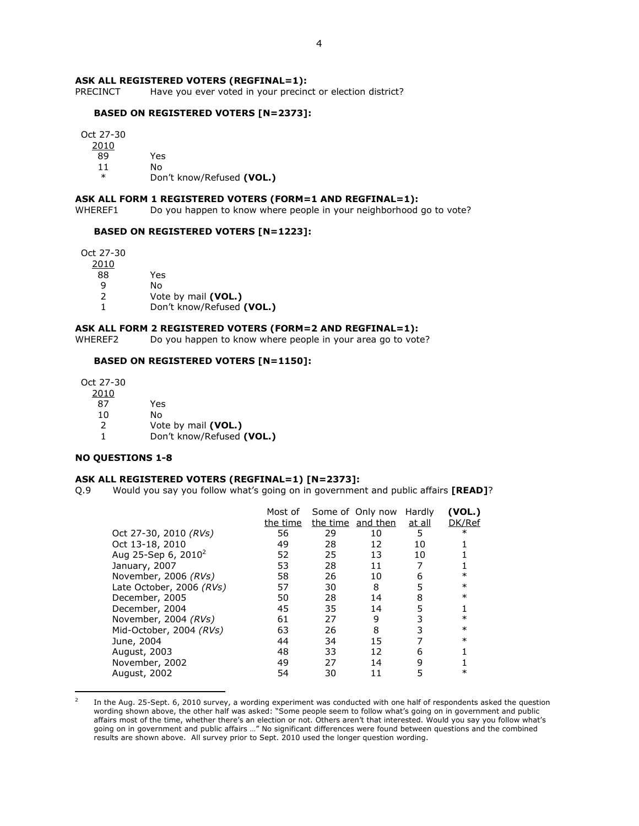# **ASK ALL REGISTERED VOTERS (REGFINAL=1):**<br>PRECINCT Have you ever voted in your precinc

Have you ever voted in your precinct or election district?

#### BASED ON REGISTERED VOTERS [N=2373]:

Oct 27-30

2010

89 Yes

11 No

Don't know/Refused (VOL.)

# ASK ALL FORM 1 REGISTERED VOTERS (FORM=1 AND REGFINAL=1):

WHEREF1 Do you happen to know where people in your neighborhood go to vote?

#### BASED ON REGISTERED VOTERS [N=1223]:

Oct 27-30

 $\frac{2010}{88}$ 

Yes

9 No<br>2 Vot

Vote by mail (VOL.)

1 Don't know/Refused (VOL.)

#### ASK ALL FORM 2 REGISTERED VOTERS (FORM=2 AND REGFINAL=1):

WHEREF2 Do you happen to know where people in your area go to vote?

# BASED ON REGISTERED VOTERS [N=1150]:

 Oct 27-30 2010 87 Yes 10 No 2 Vote by mail (VOL.)<br>1 Don't know/Refused Don't know/Refused (VOL.)

### NO QUESTIONS 1-8

l.

#### ASK ALL REGISTERED VOTERS (REGFINAL=1) [N=2373]:

Q.9 Would you say you follow what's going on in government and public affairs [READ]?

| Most of  |    |    | Hardly                                | (VOL.)  |
|----------|----|----|---------------------------------------|---------|
| the time |    |    | <u>at all</u>                         | DK/Ref  |
| 56       | 29 | 10 | 5                                     | $^\ast$ |
| 49       | 28 | 12 | 10                                    |         |
| 52       | 25 | 13 | 10                                    |         |
| 53       | 28 | 11 |                                       |         |
| 58       | 26 | 10 | 6                                     | $\ast$  |
| 57       | 30 | 8  | 5                                     | $\ast$  |
| 50       | 28 | 14 | 8                                     | $\ast$  |
| 45       | 35 | 14 | 5                                     |         |
| 61       | 27 | 9  | 3                                     | $\ast$  |
| 63       | 26 | 8  | 3                                     | $\ast$  |
| 44       | 34 | 15 |                                       | $\ast$  |
| 48       | 33 | 12 | 6                                     |         |
| 49       | 27 | 14 | 9                                     |         |
| 54       | 30 | 11 | 5                                     | $\ast$  |
|          |    |    | Some of Only now<br>the time and then |         |

<sup>2</sup> In the Aug. 25-Sept. 6, 2010 survey, a wording experiment was conducted with one half of respondents asked the question wording shown above, the other half was asked: "Some people seem to follow what's going on in government and public affairs most of the time, whether there's an election or not. Others aren't that interested. Would you say you follow what's going on in government and public affairs …" No significant differences were found between questions and the combined results are shown above. All survey prior to Sept. 2010 used the longer question wording.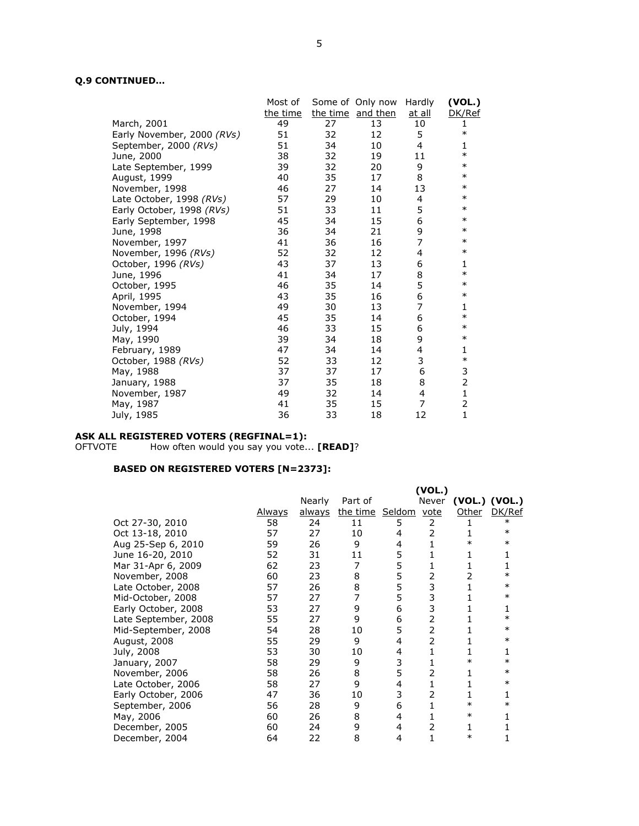# Q.9 CONTINUED…

|                            | Most of  |    | Some of Only now  | Hardly         | (VOL.)         |
|----------------------------|----------|----|-------------------|----------------|----------------|
|                            | the time |    | the time and then | <u>at all</u>  | DK/Ref         |
| March, 2001                | 49       | 27 | 13                | 10             | 1              |
| Early November, 2000 (RVs) | 51       | 32 | 12                | 5              | $\ast$         |
| September, 2000 (RVs)      | 51       | 34 | 10                | 4              | 1              |
| June, 2000                 | 38       | 32 | 19                | 11             | $\ast$         |
| Late September, 1999       | 39       | 32 | 20                | 9              | $\ast$         |
| August, 1999               | 40       | 35 | 17                | 8              | $\ast$         |
| November, 1998             | 46       | 27 | 14                | 13             | $\ast$         |
| Late October, 1998 (RVs)   | 57       | 29 | 10                | 4              | $\ast$         |
| Early October, 1998 (RVs)  | 51       | 33 | 11                | 5              | $\ast$         |
| Early September, 1998      | 45       | 34 | 15                | 6              | $\ast$         |
| June, 1998                 | 36       | 34 | 21                | 9              | $\ast$         |
| November, 1997             | 41       | 36 | 16                | $\overline{7}$ | $\ast$         |
| November, 1996 (RVs)       | 52       | 32 | 12                | 4              | $\ast$         |
| October, 1996 (RVs)        | 43       | 37 | 13                | 6              | 1              |
| June, 1996                 | 41       | 34 | 17                | 8              | $\ast$         |
| October, 1995              | 46       | 35 | 14                | 5              | $\ast$         |
| April, 1995                | 43       | 35 | 16                | 6              | $\ast$         |
| November, 1994             | 49       | 30 | 13                | 7              | 1              |
| October, 1994              | 45       | 35 | 14                | 6              | $\ast$         |
| July, 1994                 | 46       | 33 | 15                | 6              | $\ast$         |
| May, 1990                  | 39       | 34 | 18                | 9              | $\ast$         |
| February, 1989             | 47       | 34 | 14                | 4              | 1              |
| October, 1988 (RVs)        | 52       | 33 | 12                | 3              | $\ast$         |
| May, 1988                  | 37       | 37 | 17                | 6              | 3              |
| January, 1988              | 37       | 35 | 18                | 8              | $\overline{2}$ |
| November, 1987             | 49       | 32 | 14                | $\overline{4}$ | $\mathbf{1}$   |
| May, 1987                  | 41       | 35 | 15                | 7              | $\overline{2}$ |
| July, 1985                 | 36       | 33 | 18                | 12             | $\mathbf{1}$   |
|                            |          |    |                   |                |                |

#### ASK ALL REGISTERED VOTERS (REGFINAL=1):

OFTVOTE How often would you say you vote... **[READ]**?

|                      |               |        |                      |   | (VOL.)         |        |               |
|----------------------|---------------|--------|----------------------|---|----------------|--------|---------------|
|                      |               | Nearly | Part of              |   | Never          |        | (VOL.) (VOL.) |
|                      | <u>Always</u> | always | the time Seldom vote |   |                | Other  | DK/Ref        |
| Oct 27-30, 2010      | 58            | 24     | 11                   | 5 | 2              |        | $\ast$        |
| Oct 13-18, 2010      | 57            | 27     | 10                   | 4 | 2              |        | $\ast$        |
| Aug 25-Sep 6, 2010   | 59            | 26     | 9                    | 4 |                | $\ast$ | $\ast$        |
| June 16-20, 2010     | 52            | 31     | 11                   | 5 |                |        |               |
| Mar 31-Apr 6, 2009   | 62            | 23     | 7                    | 5 |                |        |               |
| November, 2008       | 60            | 23     | 8                    | 5 | 2              |        | $\ast$        |
| Late October, 2008   | 57            | 26     | 8                    | 5 | 3              |        | $\ast$        |
| Mid-October, 2008    | 57            | 27     | 7                    | 5 | 3              |        | $\ast$        |
| Early October, 2008  | 53            | 27     | 9                    | 6 | 3              |        |               |
| Late September, 2008 | 55            | 27     | 9                    | 6 | $\overline{2}$ |        | $\ast$        |
| Mid-September, 2008  | 54            | 28     | 10                   | 5 | 2              |        | $\ast$        |
| August, 2008         | 55            | 29     | 9                    | 4 | 2              |        | $\ast$        |
| July, 2008           | 53            | 30     | 10                   | 4 |                |        |               |
| January, 2007        | 58            | 29     | 9                    | 3 |                | $\ast$ | $\ast$        |
| November, 2006       | 58            | 26     | 8                    | 5 | 2              |        | $\ast$        |
| Late October, 2006   | 58            | 27     | 9                    | 4 | 1              |        | $\ast$        |
| Early October, 2006  | 47            | 36     | 10                   | 3 | 2              |        |               |
| September, 2006      | 56            | 28     | 9                    | 6 |                | $\ast$ | ж             |
| May, 2006            | 60            | 26     | 8                    | 4 |                | $\ast$ |               |
| December, 2005       | 60            | 24     | 9                    | 4 | 2              |        |               |
| December, 2004       | 64            | 22     | 8                    | 4 |                | $\ast$ |               |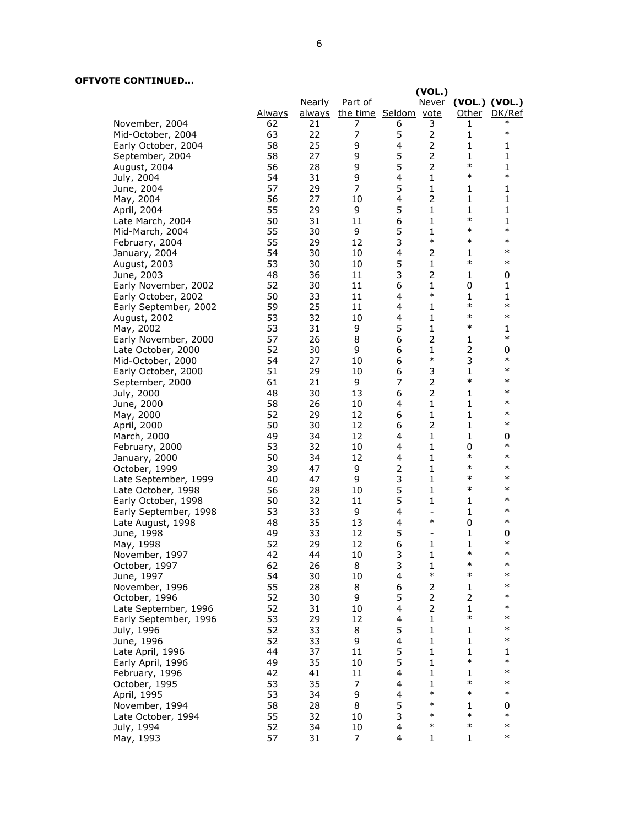# OFTVOTE CONTINUED...

|                       |               |        |                             |                         | (VOL.)                   |                        |              |
|-----------------------|---------------|--------|-----------------------------|-------------------------|--------------------------|------------------------|--------------|
|                       |               | Nearly | Part of                     |                         |                          | Never (VOL.) (VOL.)    |              |
|                       | <u>Always</u> |        | always the time Seldom vote |                         |                          |                        | Other DK/Ref |
| November, 2004        | 62            | 21     | 7                           | 6                       | 3                        | 1                      | ∗            |
| Mid-October, 2004     | 63            | 22     | 7                           | 5                       | 2                        | 1                      | $\ast$       |
| Early October, 2004   | 58            | 25     | 9                           | 4                       | $\overline{2}$           | 1                      | 1            |
|                       |               |        |                             |                         |                          |                        |              |
| September, 2004       | 58            | 27     | 9                           | 5                       | $\overline{2}$           | $\mathbf{1}$           | $\mathbf{1}$ |
| August, 2004          | 56            | 28     | 9                           | 5                       | $\overline{2}$           | $\ast$                 | $\mathbf{1}$ |
| July, 2004            | 54            | 31     | 9                           | 4                       | 1                        | $\ast$                 | $\ast$       |
| June, 2004            | 57            | 29     | 7                           | 5                       | $\mathbf{1}$             | 1                      | $\mathbf{1}$ |
| May, 2004             | 56            | 27     | 10                          | $\overline{4}$          | $\overline{2}$           | $\mathbf{1}$           | $\mathbf{1}$ |
| April, 2004           | 55            | 29     | 9                           | 5                       | $\mathbf{1}$             | 1                      | $\mathbf{1}$ |
| Late March, 2004      | 50            | 31     | 11                          | 6                       | 1                        | $\ast$                 | 1            |
|                       |               |        |                             | 5                       | $\mathbf{1}$             | $\ast$                 | $\ast$       |
| Mid-March, 2004       | 55            | 30     | 9                           |                         | $\ast$                   | $\ast$                 | $\ast$       |
| February, 2004        | 55            | 29     | 12                          | 3                       |                          |                        |              |
| January, 2004         | 54            | 30     | 10                          | $\overline{4}$          | 2                        | 1                      | $\ast$       |
| August, 2003          | 53            | 30     | 10                          | 5                       | $\mathbf{1}$             | $\ast$                 | $\ast$       |
| June, 2003            | 48            | 36     | 11                          | 3                       | $\overline{2}$           | 1                      | 0            |
| Early November, 2002  | 52            | 30     | 11                          | 6                       | $\mathbf{1}$             | 0                      | 1            |
| Early October, 2002   | 50            | 33     | 11                          | $\overline{4}$          | $\ast$                   | 1                      | $\mathbf{1}$ |
|                       | 59            | 25     | 11                          | 4                       | $\mathbf{1}$             | $\ast$                 | $\ast$       |
| Early September, 2002 |               |        |                             | $\overline{4}$          |                          | $\ast$                 | $\ast$       |
| August, 2002          | 53            | 32     | 10                          |                         | 1                        |                        |              |
| May, 2002             | 53            | 31     | 9                           | 5                       | $\mathbf{1}$             | $\ast$                 | 1            |
| Early November, 2000  | 57            | 26     | 8                           | 6                       | $\overline{2}$           | 1                      | $\ast$       |
| Late October, 2000    | 52            | 30     | 9                           | 6                       | $\mathbf{1}$             | $\overline{2}$         | 0            |
| Mid-October, 2000     | 54            | 27     | 10                          | 6                       | $\ast$                   | 3                      | $\ast$       |
| Early October, 2000   | 51            | 29     | 10                          | 6                       | 3                        | $\mathbf{1}$           | $\ast$       |
| September, 2000       | 61            | 21     | 9                           | 7                       | $\overline{2}$           | $\ast$                 | $\ast$       |
| July, 2000            | 48            | 30     | 13                          | 6                       | $\overline{2}$           | $\mathbf{1}$           | $\ast$       |
| June, 2000            | 58            | 26     | 10                          | $\overline{4}$          | $\mathbf{1}$             | $\mathbf{1}$           | $\ast$       |
|                       | 52            | 29     | 12                          | 6                       | 1                        | 1                      | $\ast$       |
| May, 2000             |               |        |                             |                         |                          |                        | $\ast$       |
| April, 2000           | 50            | 30     | 12                          | 6                       | $\overline{2}$           | $\mathbf{1}$           |              |
| March, 2000           | 49            | 34     | 12                          | 4                       | $\mathbf{1}$             | 1                      | 0            |
| February, 2000        | 53            | 32     | 10                          | $\overline{4}$          | $\mathbf{1}$             | 0                      | $\ast$       |
| January, 2000         | 50            | 34     | 12                          | 4                       | $\mathbf{1}$             | $\ast$                 | $\ast$       |
| October, 1999         | 39            | 47     | 9                           | $\overline{2}$          | $\mathbf{1}$             | $\ast$                 | $\ast$       |
| Late September, 1999  | 40            | 47     | 9                           | 3                       | $\mathbf{1}$             | $\ast$                 | $\ast$       |
| Late October, 1998    | 56            | 28     | 10                          | 5                       | $\mathbf{1}$             | $\ast$                 | $\ast$       |
| Early October, 1998   | 50            | 32     | 11                          | 5                       | $\mathbf{1}$             | 1                      | $\ast$       |
| Early September, 1998 | 53            | 33     | 9                           | 4                       | $\overline{\phantom{a}}$ | 1                      | $\ast$       |
| Late August, 1998     | 48            | 35     | 13                          | $\overline{4}$          | $\ast$                   | 0                      | $\ast$       |
| June, 1998            | 49            | 33     | 12                          | 5                       | $\overline{\phantom{a}}$ | 1                      | 0            |
|                       |               |        |                             |                         |                          |                        | $\ast$       |
| May, 1998             | 52            | 29     | 12                          | 6                       | $\mathbf{1}$             | $\mathbf{1}$<br>$\ast$ | $\ast$       |
| November, 1997        | 42            | 44     | 10                          | 3                       | $\mathbf{1}$             |                        |              |
| October, 1997         | 62            | 26     | 8                           | 3                       | 1                        | $\ast$                 | $\ast$       |
| June, 1997            | 54            | 30     | 10                          | $\overline{\mathbf{4}}$ | $\ast$                   | $\ast$                 | $\ast$       |
| November, 1996        | 55            | 28     | 8                           | 6                       | $\overline{2}$           | 1                      | $\ast$       |
| October, 1996         | 52            | 30     | 9                           | 5                       | 2                        | 2                      | $\ast$       |
| Late September, 1996  | 52            | 31     | 10                          | 4                       | $\overline{2}$           | 1                      | $\ast$       |
| Early September, 1996 | 53            | 29     | 12                          | 4                       | $\mathbf{1}$             | $\ast$                 | $\ast$       |
| July, 1996            | 52            | 33     | 8                           | 5                       | $\mathbf{1}$             | 1                      | $\ast$       |
| June, 1996            | 52            | 33     | 9                           | 4                       | 1                        | 1                      | $\ast$       |
|                       |               |        |                             |                         |                          |                        |              |
| Late April, 1996      | 44            | 37     | 11                          | 5                       | $\mathbf{1}$             | $\mathbf{1}$<br>$\ast$ | 1<br>$\ast$  |
| Early April, 1996     | 49            | 35     | 10                          | 5                       | $\mathbf{1}$             |                        |              |
| February, 1996        | 42            | 41     | 11                          | 4                       | 1                        | 1                      | $\ast$       |
| October, 1995         | 53            | 35     | 7                           | 4                       | 1                        | $\ast$                 | $\ast$       |
| April, 1995           | 53            | 34     | 9                           | 4                       | $\ast$                   | $\ast$                 | $\ast$       |
| November, 1994        | 58            | 28     | 8                           | 5                       | $\ast$                   | 1                      | 0            |
| Late October, 1994    | 55            | 32     | 10                          | 3                       | $\ast$                   | $\ast$                 | $\ast$       |
| July, 1994            | 52            | 34     | 10                          | 4                       | $\ast$                   | $\ast$                 | $\ast$       |
| May, 1993             | 57            | 31     | 7                           | 4                       | $\mathbf{1}$             | 1                      | $\ast$       |
|                       |               |        |                             |                         |                          |                        |              |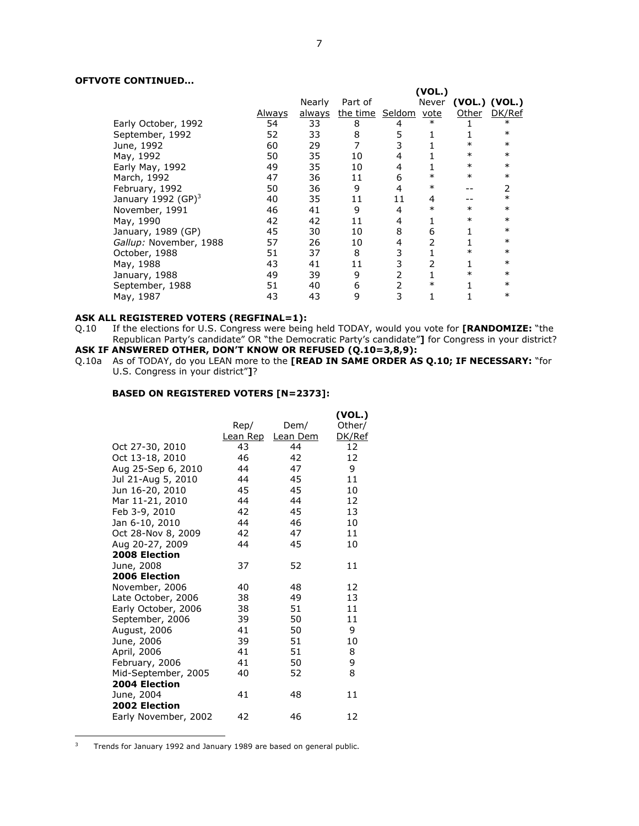# OFTVOTE CONTINUED...

|                                |               |               |                      |    | (VOL.) |               |                |
|--------------------------------|---------------|---------------|----------------------|----|--------|---------------|----------------|
|                                |               | Nearly        | Part of              |    | Never  | (VOL.) (VOL.) |                |
|                                | <u>Always</u> | <u>always</u> | the time Seldom vote |    |        | Other         | DK/Ref         |
| Early October, 1992            | 54            | 33            | 8                    | 4  | $\ast$ |               | $\ast$         |
| September, 1992                | 52            | 33            | 8                    | 5  |        |               | $\ast$         |
| June, 1992                     | 60            | 29            |                      |    |        | $\ast$        | $\ast$         |
| May, 1992                      | 50            | 35            | 10                   |    |        | $\ast$        | $\ast$         |
| Early May, 1992                | 49            | 35            | 10                   |    |        | $\ast$        | $\ast$         |
| March, 1992                    | 47            | 36            | 11                   | 6  | $\ast$ | $\ast$        | $\ast$         |
| February, 1992                 | 50            | 36            | 9                    | 4  | $\ast$ |               | $\overline{2}$ |
| January 1992 (GP) <sup>3</sup> | 40            | 35            | 11                   | 11 | 4      |               | $\ast$         |
| November, 1991                 | 46            | 41            | 9                    | 4  | $\ast$ | $\ast$        | $\ast$         |
| May, 1990                      | 42            | 42            | 11                   | 4  |        | $\ast$        | $\ast$         |
| January, 1989 (GP)             | 45            | 30            | 10                   | 8  | 6      |               | $\ast$         |
| Gallup: November, 1988         | 57            | 26            | 10                   | 4  |        |               | $\ast$         |
| October, 1988                  | 51            | 37            | 8                    | 3  |        | $\ast$        | $\ast$         |
| May, 1988                      | 43            | 41            | 11                   |    |        |               | $\ast$         |
| January, 1988                  | 49            | 39            | 9                    | 2  |        | $\ast$        | $\ast$         |
| September, 1988                | 51            | 40            | 6                    |    | $\ast$ |               | $\ast$         |
| May, 1987                      | 43            | 43            | 9                    | 3  |        |               | $\ast$         |

# ASK ALL REGISTERED VOTERS (REGFINAL=1):<br>Q.10 If the elections for U.S. Congress were being

If the elections for U.S. Congress were being held TODAY, would you vote for [RANDOMIZE: "the Republican Party's candidate" OR "the Democratic Party's candidate"] for Congress in your district? ASK IF ANSWERED OTHER, DON'T KNOW OR REFUSED (Q.10=3,8,9):

Q.10a As of TODAY, do you LEAN more to the **[READ IN SAME ORDER AS Q.10; IF NECESSARY:** "for U.S. Congress in your district"]?

### BASED ON REGISTERED VOTERS [N=2373]:

|                      |                 |          | (VOL.) |
|----------------------|-----------------|----------|--------|
|                      | Rep/            | Dem/     | Other/ |
|                      | <u>Lean Rep</u> | Lean Dem | DK/Ref |
| Oct 27-30, 2010      | 43              | 44       | 12     |
| Oct 13-18, 2010      | 46              | 42       | 12     |
| Aug 25-Sep 6, 2010   | 44              | 47       | 9      |
| Jul 21-Aug 5, 2010   | 44              | 45       | 11     |
| Jun 16-20, 2010      | 45              | 45       | 10     |
| Mar 11-21, 2010      | 44              | 44       | 12     |
| Feb 3-9, 2010        | 42              | 45       | 13     |
| Jan 6-10, 2010       | 44              | 46       | 10     |
| Oct 28-Nov 8, 2009   | 42              | 47       | 11     |
| Aug 20-27, 2009      | 44              | 45       | 10     |
| <b>2008 Election</b> |                 |          |        |
| June, 2008           | 37              | 52       | 11     |
| 2006 Election        |                 |          |        |
| November, 2006       | 40              | 48       | 12     |
| Late October, 2006   | 38              | 49       | 13     |
| Early October, 2006  | 38              | 51       | 11     |
| September, 2006      | 39              | 50       | 11     |
| August, 2006         | 41              | 50       | 9      |
| June, 2006           | 39              | 51       | 10     |
| April, 2006          | 41              | 51       | 8      |
| February, 2006       | 41              | 50       | 9      |
| Mid-September, 2005  | 40              | 52       | 8      |
| 2004 Election        |                 |          |        |
| June, 2004           | 41              | 48       | 11     |
| 2002 Election        |                 |          |        |
| Early November, 2002 | 42              | 46       | 12     |
|                      |                 |          |        |

<sup>3</sup> Trends for January 1992 and January 1989 are based on general public.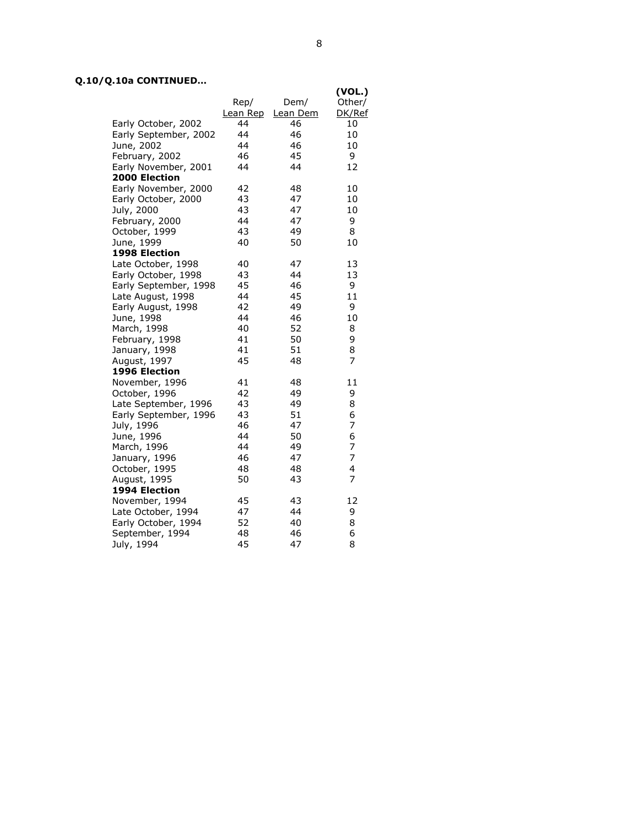# Q.10/Q.10a CONTINUED…

|          |                                                                                                                                                                                                                                                                                                                                                       | (VOL.) |
|----------|-------------------------------------------------------------------------------------------------------------------------------------------------------------------------------------------------------------------------------------------------------------------------------------------------------------------------------------------------------|--------|
| Rep/     | Dem/                                                                                                                                                                                                                                                                                                                                                  | Other/ |
| Lean Rep | Lean Dem                                                                                                                                                                                                                                                                                                                                              | DK/Ref |
| 44       | 46                                                                                                                                                                                                                                                                                                                                                    | 10     |
| 44       | 46                                                                                                                                                                                                                                                                                                                                                    | 10     |
| 44       | 46                                                                                                                                                                                                                                                                                                                                                    | 10     |
| 46       | 45                                                                                                                                                                                                                                                                                                                                                    | 9      |
| 44       | 44                                                                                                                                                                                                                                                                                                                                                    | 12     |
|          |                                                                                                                                                                                                                                                                                                                                                       |        |
| 42       | 48                                                                                                                                                                                                                                                                                                                                                    | 10     |
| 43       | 47                                                                                                                                                                                                                                                                                                                                                    | 10     |
| 43       | 47                                                                                                                                                                                                                                                                                                                                                    | 10     |
| 44       | 47                                                                                                                                                                                                                                                                                                                                                    | 9      |
| 43       | 49                                                                                                                                                                                                                                                                                                                                                    | 8      |
| 40       | 50                                                                                                                                                                                                                                                                                                                                                    | 10     |
|          |                                                                                                                                                                                                                                                                                                                                                       |        |
| 40       | 47                                                                                                                                                                                                                                                                                                                                                    | 13     |
| 43       | 44                                                                                                                                                                                                                                                                                                                                                    | 13     |
| 45       | 46                                                                                                                                                                                                                                                                                                                                                    | 9      |
| 44       | 45                                                                                                                                                                                                                                                                                                                                                    | 11     |
| 42       | 49                                                                                                                                                                                                                                                                                                                                                    | 9      |
| 44       | 46                                                                                                                                                                                                                                                                                                                                                    | 10     |
| 40       | 52                                                                                                                                                                                                                                                                                                                                                    | 8      |
| 41       | 50                                                                                                                                                                                                                                                                                                                                                    | 9      |
| 41       | 51                                                                                                                                                                                                                                                                                                                                                    | 8      |
| 45       | 48                                                                                                                                                                                                                                                                                                                                                    | 7      |
|          |                                                                                                                                                                                                                                                                                                                                                       |        |
| 41       | 48                                                                                                                                                                                                                                                                                                                                                    | 11     |
| 42       | 49                                                                                                                                                                                                                                                                                                                                                    | 9      |
| 43       | 49                                                                                                                                                                                                                                                                                                                                                    | 8      |
| 43       | 51                                                                                                                                                                                                                                                                                                                                                    | 6      |
| 46       | 47                                                                                                                                                                                                                                                                                                                                                    | 7      |
| 44       | 50                                                                                                                                                                                                                                                                                                                                                    | 6      |
| 44       | 49                                                                                                                                                                                                                                                                                                                                                    | 7      |
| 46       | 47                                                                                                                                                                                                                                                                                                                                                    | 7      |
| 48       | 48                                                                                                                                                                                                                                                                                                                                                    | 4      |
| 50       | 43                                                                                                                                                                                                                                                                                                                                                    | 7      |
|          |                                                                                                                                                                                                                                                                                                                                                       |        |
| 45       | 43                                                                                                                                                                                                                                                                                                                                                    | 12     |
| 47       | 44                                                                                                                                                                                                                                                                                                                                                    | 9      |
| 52       | 40                                                                                                                                                                                                                                                                                                                                                    | 8      |
| 48       | 46                                                                                                                                                                                                                                                                                                                                                    | 6      |
| 45       | 47                                                                                                                                                                                                                                                                                                                                                    | 8      |
|          | Early October, 2002<br>Early September, 2002<br>Early November, 2001<br>Early November, 2000<br>Early October, 2000<br>Late October, 1998<br>Early October, 1998<br>Early September, 1998<br>Late August, 1998<br>Early August, 1998<br>Late September, 1996<br>Early September, 1996<br>Late October, 1994<br>Early October, 1994<br>September, 1994 |        |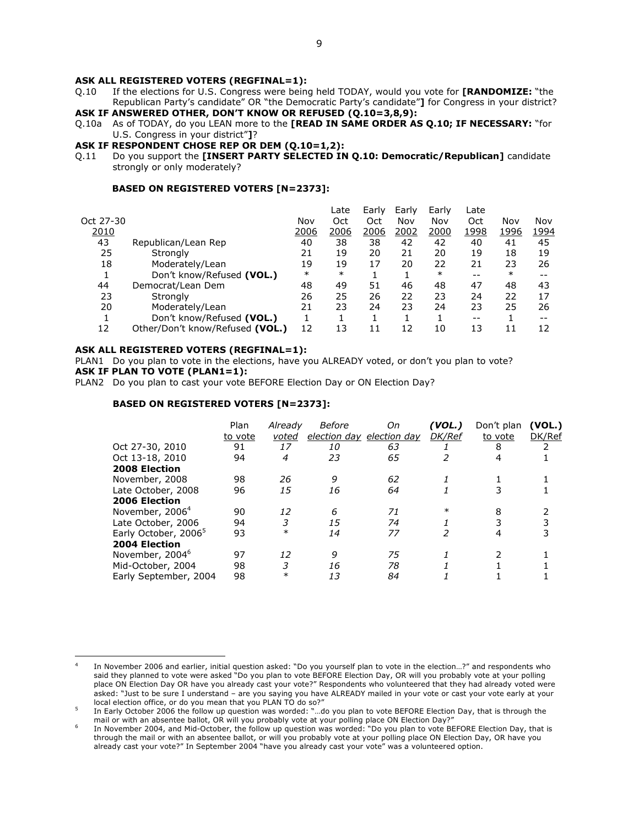- Q.10 If the elections for U.S. Congress were being held TODAY, would you vote for [RANDOMIZE: "the Republican Party's candidate" OR "the Democratic Party's candidate"] for Congress in your district? ASK IF ANSWERED OTHER, DON'T KNOW OR REFUSED (Q.10=3,8,9):
- Q.10a As of TODAY, do you LEAN more to the **[READ IN SAME ORDER AS Q.10; IF NECESSARY:** "for U.S. Congress in your district"]?
- ASK IF RESPONDENT CHOSE REP OR DEM (Q.10=1,2):
- Q.11 Do you support the [INSERT PARTY SELECTED IN Q.10: Democratic/Republican] candidate strongly or only moderately?

#### BASED ON REGISTERED VOTERS [N=2373]:

|           |                                 |        | Late   | Early | Early | Early  | Late  |        |      |
|-----------|---------------------------------|--------|--------|-------|-------|--------|-------|--------|------|
| Oct 27-30 |                                 | Nov    | Oct    | Oct   | Nov   | Nov    | Oct   | Nov    | Nov  |
| 2010      |                                 | 2006   | 2006   | 2006  | 2002  | 2000   | 1998  | 1996   | 1994 |
| 43        | Republican/Lean Rep             | 40     | 38     | 38    | 42    | 42     | 40    | 41     | 45   |
| 25        | Strongly                        | 21     | 19     | 20    | 21    | 20     | 19    | 18     | 19   |
| 18        | Moderately/Lean                 | 19     | 19     | 17    | 20    | 22     | 21    | 23     | 26   |
|           | Don't know/Refused (VOL.)       | $\ast$ | $\ast$ |       |       | $\ast$ | $- -$ | $\ast$ |      |
| 44        | Democrat/Lean Dem               | 48     | 49     | 51    | 46    | 48     | 47    | 48     | 43   |
| 23        | Strongly                        | 26     | 25     | 26    | 22    | 23     | 24    | 22     | 17   |
| 20        | Moderately/Lean                 | 21     | 23     | 24    | 23    | 24     | 23    | 25     | 26   |
|           | Don't know/Refused (VOL.)       |        |        |       |       |        | $- -$ |        |      |
| 12        | Other/Don't know/Refused (VOL.) | 12     | 13     | 11    | 12    | 10     | 13    | 11     | 12   |
|           |                                 |        |        |       |       |        |       |        |      |

#### ASK ALL REGISTERED VOTERS (REGFINAL=1):

 $\overline{a}$ 

PLAN1 Do you plan to vote in the elections, have you ALREADY voted, or don't you plan to vote? ASK IF PLAN TO VOTE (PLAN1=1):

PLAN2 Do you plan to cast your vote BEFORE Election Day or ON Election Day?

|                                  | Plan<br>to vote | Already<br>voted | Before | Оn<br>election day election day | (VOL.)<br><b>DK/Ref</b> | Don't plan<br>to vote | (VOL.)<br>DK/Ref |
|----------------------------------|-----------------|------------------|--------|---------------------------------|-------------------------|-----------------------|------------------|
| Oct 27-30, 2010                  | 91              | 17               | 10     | 63                              |                         | 8                     |                  |
| Oct 13-18, 2010                  | 94              | 4                | 23     | 65                              |                         | 4                     |                  |
| 2008 Election                    |                 |                  |        |                                 |                         |                       |                  |
| November, 2008                   | 98              | 26               | 9      | 62                              |                         |                       |                  |
| Late October, 2008               | 96              | 15               | 16     | 64                              |                         |                       |                  |
| 2006 Election                    |                 |                  |        |                                 |                         |                       |                  |
| November, 2006 <sup>4</sup>      | 90              | 12               | 6      | 71                              | $\ast$                  | 8                     |                  |
| Late October, 2006               | 94              | 3                | 15     | 74                              |                         |                       |                  |
| Early October, 2006 <sup>5</sup> | 93              | $\ast$           | 14     | 77                              |                         | 4                     |                  |
| 2004 Election                    |                 |                  |        |                                 |                         |                       |                  |
| November, 2004 <sup>6</sup>      | 97              | 12               | 9      | 75                              |                         |                       |                  |
| Mid-October, 2004                | 98              | 3                | 16     | 78                              |                         |                       |                  |
| Early September, 2004            | 98              | $\ast$           | 13     | 84                              |                         |                       |                  |
|                                  |                 |                  |        |                                 |                         |                       |                  |

<sup>4</sup> In November 2006 and earlier, initial question asked: "Do you yourself plan to vote in the election…?" and respondents who said they planned to vote were asked "Do you plan to vote BEFORE Election Day, OR will you probably vote at your polling place ON Election Day OR have you already cast your vote?" Respondents who volunteered that they had already voted were asked: "Just to be sure I understand – are you saying you have ALREADY mailed in your vote or cast your vote early at your local election office, or do you mean that you PLAN TO do so?"

<sup>5</sup> In Early October 2006 the follow up question was worded: "…do you plan to vote BEFORE Election Day, that is through the mail or with an absentee ballot, OR will you probably vote at your polling place ON Election Day?"

<sup>6</sup> In November 2004, and Mid-October, the follow up question was worded: "Do you plan to vote BEFORE Election Day, that is through the mail or with an absentee ballot, or will you probably vote at your polling place ON Election Day, OR have you already cast your vote?" In September 2004 "have you already cast your vote" was a volunteered option.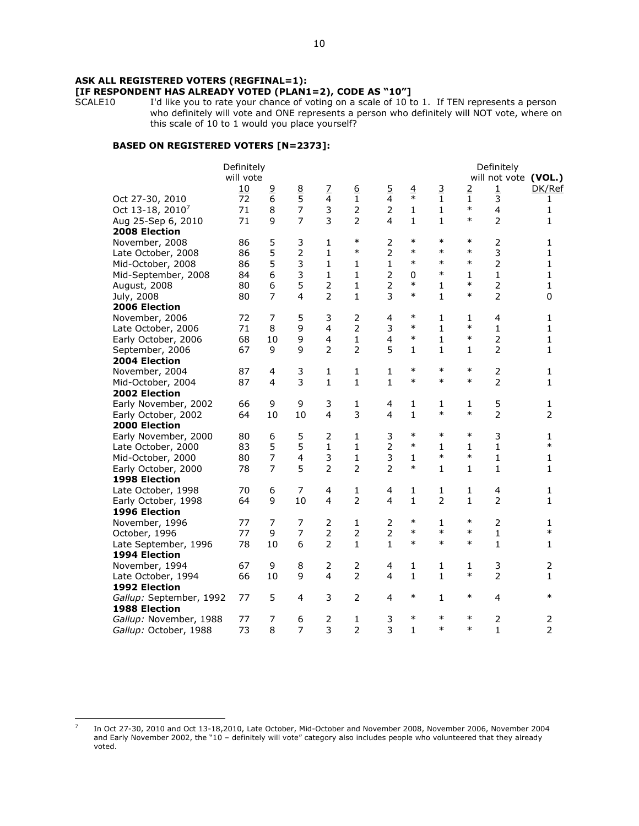# **[IF RESPONDENT HAS ALREADY VOTED (PLAN1=2), CODE AS "10"]**<br>SCALE10 I'd like you to rate your chance of voting on a scale of 10 to

I'd like you to rate your chance of voting on a scale of 10 to 1. If TEN represents a person who definitely will vote and ONE represents a person who definitely will NOT vote, where on this scale of 10 to 1 would you place yourself?

# BASED ON REGISTERED VOTERS [N=2373]:

|                              | Definitely<br>will vote |                |                         |                         |                  |                         |               |                  |                | Definitely<br>will not vote (VOL.) |                |
|------------------------------|-------------------------|----------------|-------------------------|-------------------------|------------------|-------------------------|---------------|------------------|----------------|------------------------------------|----------------|
|                              | 10                      | $\overline{9}$ | 8<br>5                  | $\overline{L}$          | $6 \overline{6}$ | $\overline{5}$          | $\frac{4}{1}$ | 3                | $\overline{2}$ | $\mathbf 1$                        | DK/Ref         |
| Oct 27-30, 2010              | 72                      | 6              |                         | 4                       | $\mathbf{1}$     | 4                       |               | $\mathbf{1}$     | 1<br>$\ast$    | 3                                  | 1              |
| Oct 13-18, 2010 <sup>7</sup> | 71                      | 8              | $\overline{7}$          | 3                       | $\overline{2}$   | $\overline{2}$          | $\mathbf 1$   | $\mathbf{1}$     | $\ast$         | 4                                  | $\mathbf 1$    |
| Aug 25-Sep 6, 2010           | 71                      | 9              | $\overline{7}$          | 3                       | $\overline{2}$   | 4                       | $\mathbf{1}$  | $\mathbf{1}$     |                | $\overline{2}$                     | 1              |
| <b>2008 Election</b>         |                         |                |                         |                         |                  |                         | $\ast$        | $\ast$           |                |                                    |                |
| November, 2008               | 86                      | 5              | 3                       | $\mathbf{1}$            | $\ast$           | 2                       |               |                  | $\ast$         | $\overline{2}$                     | 1              |
| Late October, 2008           | 86                      | 5              | $\overline{2}$          | 1                       | $\ast$           | 2                       | $\ast$        | $\ast$<br>$\ast$ | $\ast$         | 3                                  | 1              |
| Mid-October, 2008            | 86                      | 5              | 3                       | $\mathbf{1}$            | 1                | $\mathbf{1}$            | $\ast$        |                  | $\ast$         | 2                                  | $\mathbf{1}$   |
| Mid-September, 2008          | 84                      | 6              | 3                       | $\mathbf{1}$            | $\mathbf{1}$     | 2                       | $\mathbf 0$   | $\ast$           | 1              | $\mathbf{1}$                       | $\mathbf{1}$   |
| August, 2008                 | 80                      | 6              | 5                       | $\overline{2}$          | $\mathbf{1}$     | 2                       | $\ast$        | $\mathbf{1}$     | $\ast$         | 2                                  | $\mathbf{1}$   |
| July, 2008                   | 80                      | 7              | 4                       | $\overline{2}$          | $\mathbf{1}$     | 3                       | $\ast$        | $\mathbf{1}$     | $\ast$         | $\overline{2}$                     | 0              |
| 2006 Election                |                         |                |                         |                         |                  |                         |               |                  |                |                                    |                |
| November, 2006               | 72                      | 7              | 5                       | 3                       | $\overline{2}$   | $\overline{\mathbf{4}}$ | $\ast$        | $\mathbf{1}$     | 1              | 4                                  | 1              |
| Late October, 2006           | 71                      | 8              | 9                       | $\overline{4}$          | 2                | 3                       | $\ast$        | $\mathbf{1}$     | $\ast$         | $\mathbf{1}$                       | 1              |
| Early October, 2006          | 68                      | 10             | 9                       | $\overline{\mathbf{4}}$ | $\mathbf{1}$     | $\overline{\mathbf{4}}$ | $\ast$        | $\mathbf{1}$     | $\ast$         | 2                                  | 1              |
| September, 2006              | 67                      | 9              | 9                       | $\overline{2}$          | $\overline{2}$   | 5                       | $\mathbf{1}$  | $\mathbf{1}$     | 1              | 2                                  | $\mathbf{1}$   |
| 2004 Election                |                         |                |                         |                         |                  |                         |               |                  |                |                                    |                |
| November, 2004               | 87                      | 4              | 3                       | 1                       | 1                | 1                       | $\ast$        | $\ast$           | $\ast$         | $\overline{2}$                     | 1              |
| Mid-October, 2004            | 87                      | $\overline{4}$ | 3                       | $\mathbf{1}$            | $\mathbf{1}$     | $\mathbf{1}$            | $\ast$        | $\ast$           | $\ast$         | $\overline{2}$                     | $\mathbf{1}$   |
| 2002 Election                |                         |                |                         |                         |                  |                         |               |                  |                |                                    |                |
| Early November, 2002         | 66                      | 9              | 9                       | 3                       | 1                | 4                       | $\mathbf{1}$  | 1                | 1              | 5                                  | 1              |
| Early October, 2002          | 64                      | 10             | 10                      | $\overline{4}$          | 3                | 4                       | $\mathbf{1}$  | $\ast$           | $\ast$         | $\overline{2}$                     | $\overline{2}$ |
| <b>2000 Election</b>         |                         |                |                         |                         |                  |                         |               |                  |                |                                    |                |
| Early November, 2000         | 80                      | 6              | 5                       | $\overline{2}$          | 1                | 3                       | $\ast$        | $\ast$           | $\ast$         | 3                                  | 1              |
| Late October, 2000           | 83                      | 5              | 5                       | $\mathbf{1}$            | $\mathbf{1}$     | $\overline{2}$          | $\ast$        | $\mathbf{1}$     | 1              | $\mathbf{1}$                       | $\ast$         |
| Mid-October, 2000            | 80                      | 7              | $\overline{\mathbf{4}}$ | 3                       | 1                | 3                       | 1             | $\ast$           | $\ast$         | 1                                  | 1              |
| Early October, 2000          | 78                      | $\overline{7}$ | 5                       | $\overline{2}$          | $\overline{2}$   | $\overline{2}$          | $\ast$        | $\mathbf{1}$     | 1              | $\mathbf{1}$                       | $\mathbf{1}$   |
| 1998 Election                |                         |                |                         |                         |                  |                         |               |                  |                |                                    |                |
| Late October, 1998           | 70                      | 6              | 7                       | $\overline{4}$          | 1                | 4                       | 1             | $\mathbf{1}$     | 1              | 4                                  | 1              |
| Early October, 1998          | 64                      | 9              | 10                      | 4                       | $\overline{2}$   | 4                       | $\mathbf{1}$  | $\overline{2}$   | $\mathbf{1}$   | $\overline{2}$                     | 1              |
| 1996 Election                |                         |                |                         |                         |                  |                         |               |                  |                |                                    |                |
| November, 1996               | 77                      | 7              | 7                       | $\overline{2}$          | 1                | 2                       | $\ast$        | $\mathbf{1}$     | $\ast$         | $\overline{2}$                     | 1              |
| October, 1996                | 77                      | 9              | $\overline{7}$          | $\overline{2}$          | 2                | $\overline{2}$          | $\ast$        | $\ast$           | $\ast$         | $\mathbf{1}$                       | $\ast$         |
| Late September, 1996         | 78                      | 10             | 6                       | $\overline{2}$          | $\mathbf{1}$     | $\mathbf{1}$            | $\ast$        | $\ast$           | $\ast$         | $\mathbf{1}$                       | $\mathbf{1}$   |
| <b>1994 Election</b>         |                         |                |                         |                         |                  |                         |               |                  |                |                                    |                |
| November, 1994               | 67                      | 9              | 8                       | 2                       | 2                | 4                       | 1             | 1                | 1              | 3                                  | $\overline{2}$ |
| Late October, 1994           | 66                      | 10             | 9                       | 4                       | $\overline{2}$   | 4                       | $\mathbf{1}$  | $\mathbf{1}$     | $\ast$         | $\overline{2}$                     | 1              |
| 1992 Election                |                         |                |                         |                         |                  |                         |               |                  |                |                                    |                |
| Gallup: September, 1992      | 77                      | 5              | 4                       | 3                       | 2                | 4                       | $\ast$        | $\mathbf{1}$     | $\ast$         | $\overline{4}$                     | $\ast$         |
| 1988 Election                |                         |                |                         |                         |                  |                         |               |                  |                |                                    |                |
| Gallup: November, 1988       | 77                      | 7              | 6                       | $\overline{2}$          | 1                | 3                       | $\ast$        | $\ast$           | $\ast$         | $\overline{2}$                     | 2              |
| Gallup: October, 1988        | 73                      | 8              | $\overline{7}$          | 3                       | $\overline{2}$   | 3                       | $\mathbf{1}$  | $\ast$           | $\ast$         | $\mathbf{1}$                       | $\overline{2}$ |
|                              |                         |                |                         |                         |                  |                         |               |                  |                |                                    |                |

<sup>7</sup> In Oct 27-30, 2010 and Oct 13-18,2010, Late October, Mid-October and November 2008, November 2006, November 2004 and Early November 2002, the "10 – definitely will vote" category also includes people who volunteered that they already voted.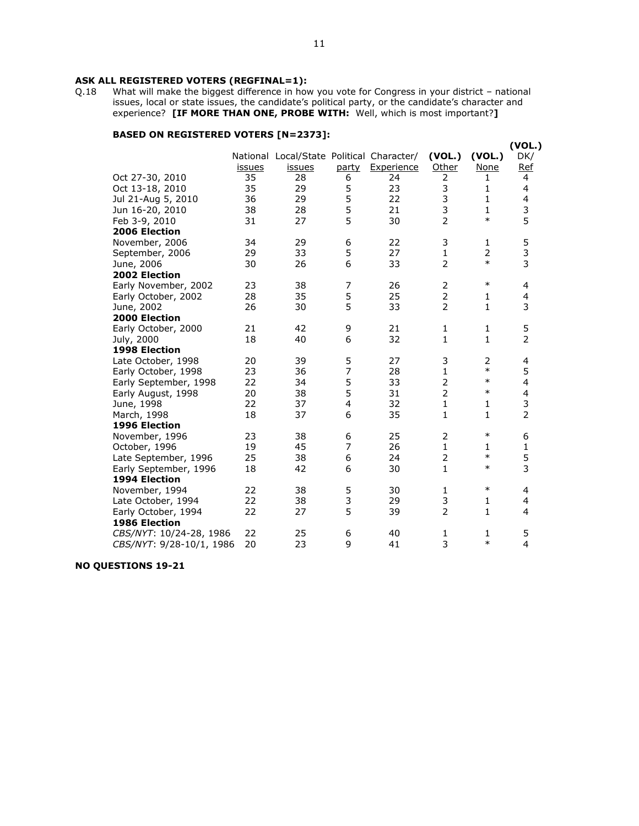# ASK ALL REGISTERED VOTERS (REGFINAL=1):<br>Q.18 What will make the biggest difference in how

What will make the biggest difference in how you vote for Congress in your district - national issues, local or state issues, the candidate's political party, or the candidate's character and experience? [IF MORE THAN ONE, PROBE WITH: Well, which is most important?]

# BASED ON REGISTERED VOTERS [N=2373]:

|                          |               |                                           |                         |            |                |                | (VOL.)                  |
|--------------------------|---------------|-------------------------------------------|-------------------------|------------|----------------|----------------|-------------------------|
|                          |               | National Local/State Political Character/ |                         |            | (VOL.)         | (VOL.)         | DK/                     |
|                          | <i>issues</i> | <i>issues</i>                             | party                   | Experience | Other          | <b>None</b>    | <u>Ref</u>              |
| Oct 27-30, 2010          | 35            | 28                                        | 6                       | 24         | 2              | 1              | 4                       |
| Oct 13-18, 2010          | 35            | 29                                        | 5                       | 23         | 3              | 1              | 4                       |
| Jul 21-Aug 5, 2010       | 36            | 29                                        | 5                       | 22         | 3              | 1              | 4                       |
| Jun 16-20, 2010          | 38            | 28                                        | 5                       | 21         | 3              | 1              | $\frac{3}{5}$           |
| Feb 3-9, 2010            | 31            | 27                                        | 5                       | 30         | $\overline{2}$ | $\ast$         |                         |
| 2006 Election            |               |                                           |                         |            |                |                |                         |
| November, 2006           | 34            | 29                                        | 6                       | 22         | 3              | 1              | 5                       |
| September, 2006          | 29            | 33                                        | 5                       | 27         | $\mathbf 1$    | $\overline{2}$ | $\frac{3}{3}$           |
| June, 2006               | 30            | 26                                        | 6                       | 33         | $\overline{2}$ | $\ast$         |                         |
| 2002 Election            |               |                                           |                         |            |                |                |                         |
| Early November, 2002     | 23            | 38                                        | $\overline{7}$          | 26         | $\overline{2}$ | $\ast$         | 4                       |
| Early October, 2002      | 28            | 35                                        | 5                       | 25         | $\overline{2}$ | 1              | $\overline{\mathbf{4}}$ |
| June, 2002               | 26            | 30                                        | 5                       | 33         | $\overline{2}$ | $\mathbf{1}$   | 3                       |
| 2000 Election            |               |                                           |                         |            |                |                |                         |
| Early October, 2000      | 21            | 42                                        | 9                       | 21         | $\mathbf{1}$   | 1              | 5                       |
| July, 2000               | 18            | 40                                        | 6                       | 32         | $\mathbf{1}$   | $\mathbf{1}$   | $\overline{2}$          |
| 1998 Election            |               |                                           |                         |            |                |                |                         |
| Late October, 1998       | 20            | 39                                        | 5                       | 27         | 3              | $\overline{2}$ | 4                       |
| Early October, 1998      | 23            | 36                                        | 7                       | 28         | $\mathbf{1}$   | $\ast$         | 5                       |
| Early September, 1998    | 22            | 34                                        | 5                       | 33         | $\overline{2}$ | $\ast$         | $\overline{\mathbf{4}}$ |
| Early August, 1998       | 20            | 38                                        | 5                       | 31         | $\overline{2}$ | $\ast$         | 4                       |
| June, 1998               | 22            | 37                                        | $\overline{\mathbf{4}}$ | 32         | $\mathbf 1$    | 1              | 3                       |
| March, 1998              | 18            | 37                                        | 6                       | 35         | $\mathbf{1}$   | $\mathbf{1}$   | $\overline{2}$          |
| 1996 Election            |               |                                           |                         |            |                |                |                         |
| November, 1996           | 23            | 38                                        | 6                       | 25         | 2              | $\ast$         | 6                       |
| October, 1996            | 19            | 45                                        | 7                       | 26         | $\mathbf{1}$   | 1              | 1                       |
| Late September, 1996     | 25            | 38                                        | 6                       | 24         |                | $\ast$         | 5                       |
| Early September, 1996    | 18            | 42                                        | 6                       | 30         | $\mathbf{1}$   | $\ast$         | 3                       |
| 1994 Election            |               |                                           |                         |            |                |                |                         |
| November, 1994           | 22            | 38                                        | $\frac{5}{3}$           | 30         | 1              | $\ast$         | 4                       |
| Late October, 1994       | 22            | 38                                        |                         | 29         | $\mathsf 3$    | 1              | 4                       |
| Early October, 1994      | 22            | 27                                        | 5                       | 39         | $\overline{2}$ | 1              | $\overline{4}$          |
| <b>1986 Election</b>     |               |                                           |                         |            |                |                |                         |
| CBS/NYT: 10/24-28, 1986  | 22            | 25                                        | 6                       | 40         | 1              | 1              | 5                       |
| CBS/NYT: 9/28-10/1, 1986 | 20            | 23                                        | 9                       | 41         | 3              | $\ast$         | 4                       |
|                          |               |                                           |                         |            |                |                |                         |

NO QUESTIONS 19-21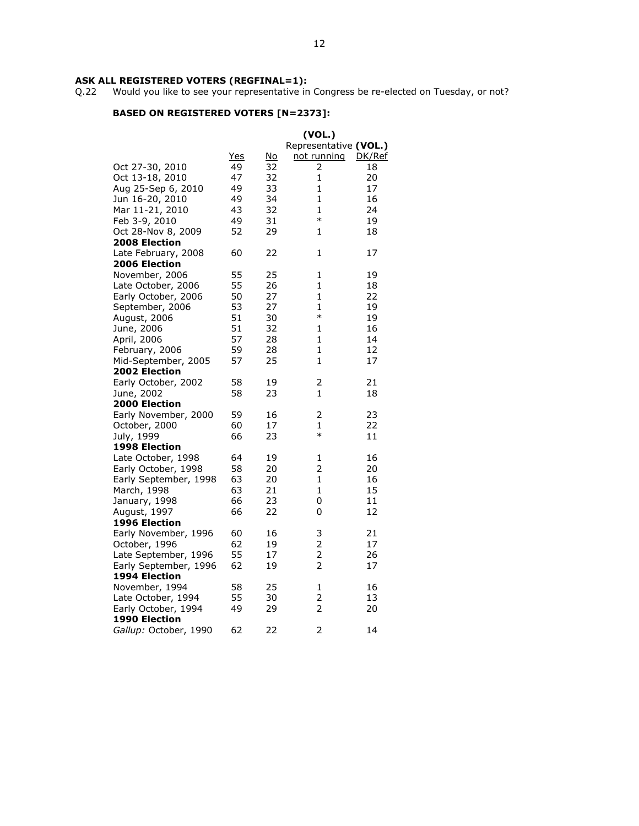Q.22 Would you like to see your representative in Congress be re-elected on Tuesday, or not?

|                       |            |    | (VOL.)                |        |
|-----------------------|------------|----|-----------------------|--------|
|                       |            |    | Representative (VOL.) |        |
|                       | <u>Yes</u> | No | not running           | DK/Ref |
| Oct 27-30, 2010       | 49         | 32 | 2                     | 18     |
| Oct 13-18, 2010       | 47         | 32 | 1                     | 20     |
| Aug 25-Sep 6, 2010    | 49         | 33 | 1                     | 17     |
| Jun 16-20, 2010       | 49         | 34 | 1                     | 16     |
| Mar 11-21, 2010       | 43         | 32 | 1                     | 24     |
| Feb 3-9, 2010         | 49         | 31 | $\ast$                | 19     |
| Oct 28-Nov 8, 2009    | 52         | 29 | 1                     | 18     |
| <b>2008 Election</b>  |            |    |                       |        |
| Late February, 2008   | 60         | 22 | 1                     | 17     |
| <b>2006 Election</b>  |            |    |                       |        |
| November, 2006        | 55         | 25 | 1                     | 19     |
| Late October, 2006    | 55         | 26 | $\mathbf{1}$          | 18     |
| Early October, 2006   | 50         | 27 | 1                     | 22     |
| September, 2006       | 53         | 27 | 1                     | 19     |
| August, 2006          | 51         | 30 | $\ast$                | 19     |
| June, 2006            | 51         | 32 | 1                     | 16     |
| April, 2006           | 57         | 28 | 1                     | 14     |
| February, 2006        | 59         | 28 | $\mathbf{1}$          | 12     |
|                       | 57         | 25 | $\mathbf{1}$          | 17     |
| Mid-September, 2005   |            |    |                       |        |
| <b>2002 Election</b>  |            |    |                       |        |
| Early October, 2002   | 58         | 19 | 2                     | 21     |
| June, 2002            | 58         | 23 | $\mathbf{1}$          | 18     |
| <b>2000 Election</b>  |            |    |                       |        |
| Early November, 2000  | 59         | 16 | 2                     | 23     |
| October, 2000         | 60         | 17 | 1<br>$\ast$           | 22     |
| July, 1999            | 66         | 23 |                       | 11     |
| <b>1998 Election</b>  |            |    |                       |        |
| Late October, 1998    | 64         | 19 | 1                     | 16     |
| Early October, 1998   | 58         | 20 | 2                     | 20     |
| Early September, 1998 | 63         | 20 | 1                     | 16     |
| March, 1998           | 63         | 21 | 1                     | 15     |
| January, 1998         | 66         | 23 | 0                     | 11     |
| August, 1997          | 66         | 22 | 0                     | 12     |
| <b>1996 Election</b>  |            |    |                       |        |
| Early November, 1996  | 60         | 16 | 3                     | 21     |
| October, 1996         | 62         | 19 | 2                     | 17     |
| Late September, 1996  | 55         | 17 | $\overline{2}$        | 26     |
| Early September, 1996 | 62         | 19 | 2                     | 17     |
| 1994 Election         |            |    |                       |        |
| November, 1994        | 58         | 25 | 1                     | 16     |
| Late October, 1994    | 55         | 30 | 2                     | 13     |
| Early October, 1994   | 49         | 29 | $\overline{2}$        | 20     |
| 1990 Election         |            |    |                       |        |
| Gallup: October, 1990 | 62         | 22 | 2                     | 14     |
|                       |            |    |                       |        |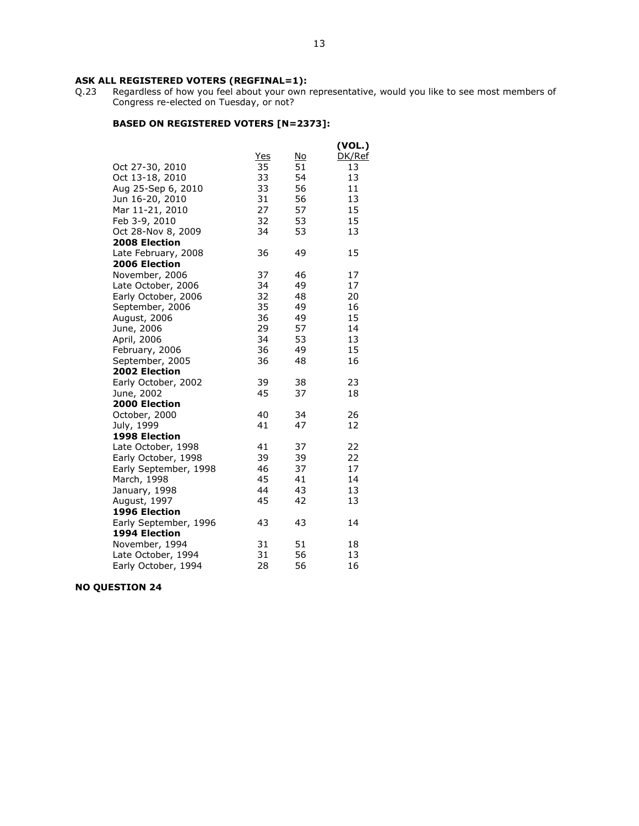Q.23 Regardless of how you feel about your own representative, would you like to see most members of Congress re-elected on Tuesday, or not?

# BASED ON REGISTERED VOTERS [N=2373]:

|                       |     |    | (VOL.) |
|-----------------------|-----|----|--------|
|                       | Yes | No | DK/Ref |
| Oct 27-30, 2010       | 35  | 51 | 13     |
| Oct 13-18, 2010       | 33  | 54 | 13     |
| Aug 25-Sep 6, 2010    | 33  | 56 | 11     |
| Jun 16-20, 2010       | 31  | 56 | 13     |
| Mar 11-21, 2010       | 27  | 57 | 15     |
| Feb 3-9, 2010         | 32  | 53 | 15     |
| Oct 28-Nov 8, 2009    | 34  | 53 | 13     |
| <b>2008 Election</b>  |     |    |        |
| Late February, 2008   | 36  | 49 | 15     |
| 2006 Election         |     |    |        |
| November, 2006        | 37  | 46 | 17     |
| Late October, 2006    | 34  | 49 | 17     |
| Early October, 2006   | 32  | 48 | 20     |
| September, 2006       | 35  | 49 | 16     |
| August, 2006          | 36  | 49 | 15     |
| June, 2006            | 29  | 57 | 14     |
| April, 2006           | 34  | 53 | 13     |
| February, 2006        | 36  | 49 | 15     |
| September, 2005       | 36  | 48 | 16     |
| 2002 Election         |     |    |        |
| Early October, 2002   | 39  | 38 | 23     |
| June, 2002            | 45  | 37 | 18     |
| 2000 Election         |     |    |        |
| October, 2000         | 40  | 34 | 26     |
| July, 1999            | 41  | 47 | 12     |
| <b>1998 Election</b>  |     |    |        |
| Late October, 1998    | 41  | 37 | 22     |
| Early October, 1998   | 39  | 39 | 22     |
| Early September, 1998 | 46  | 37 | 17     |
| March, 1998           | 45  | 41 | 14     |
| January, 1998         | 44  | 43 | 13     |
| August, 1997          | 45  | 42 | 13     |
| 1996 Election         |     |    |        |
| Early September, 1996 | 43  | 43 | 14     |
| 1994 Election         |     |    |        |
| November, 1994        | 31  | 51 | 18     |
| Late October, 1994    | 31  | 56 | 13     |
| Early October, 1994   | 28  | 56 | 16     |

NO QUESTION 24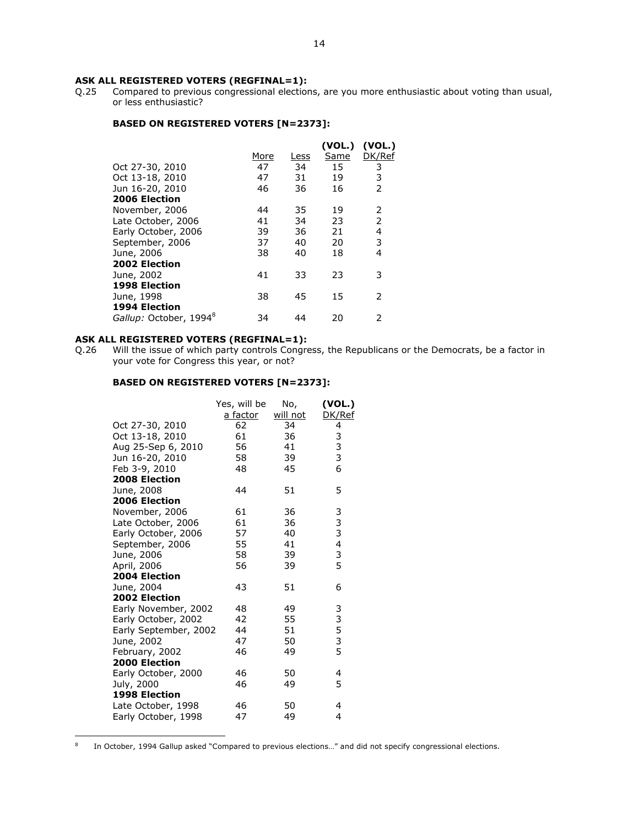ASK ALL REGISTERED VOTERS (REGFINAL=1):<br>Q.25 Compared to previous congressional election Compared to previous congressional elections, are you more enthusiastic about voting than usual, or less enthusiastic?

### BASED ON REGISTERED VOTERS [N=2373]:

|                                    |      |      | (VOL.) | (VOL.)                   |
|------------------------------------|------|------|--------|--------------------------|
|                                    | More | Less | Same   | DK/Ref                   |
| Oct 27-30, 2010                    | 47   | 34   | 15     | 3                        |
| Oct 13-18, 2010                    | 47   | 31   | 19     | 3                        |
| Jun 16-20, 2010                    | 46   | 36   | 16     | $\overline{2}$           |
| 2006 Election                      |      |      |        |                          |
| November, 2006                     | 44   | 35   | 19     | 2                        |
| Late October, 2006                 | 41   | 34   | 23     | $\overline{\phantom{a}}$ |
| Early October, 2006                | 39   | 36   | 21     | 4                        |
| September, 2006                    | 37   | 40   | 20     | 3                        |
| June, 2006                         | 38   | 40   | 18     | 4                        |
| 2002 Election                      |      |      |        |                          |
| June, 2002                         | 41   | 33   | 23     | 3                        |
| <b>1998 Election</b>               |      |      |        |                          |
| June, 1998                         | 38   | 45   | 15     | $\mathcal{P}$            |
| 1994 Election                      |      |      |        |                          |
| Gallup: October, 1994 <sup>8</sup> | 34   | 44   | 20     | フ                        |

# ASK ALL REGISTERED VOTERS (REGFINAL=1):<br>Q.26 Will the issue of which party controls Congre

 $\overline{a}$ 

Will the issue of which party controls Congress, the Republicans or the Democrats, be a factor in your vote for Congress this year, or not?

|                       | Yes, will be<br>a factor | No,<br><u>will not</u> | (VOL.)<br>DK/Ref |
|-----------------------|--------------------------|------------------------|------------------|
| Oct 27-30, 2010       | 62                       | 34                     | 4                |
| Oct 13-18, 2010       | 61                       | 36                     |                  |
| Aug 25-Sep 6, 2010    | 56                       | 41                     | 3<br>3<br>3      |
| Jun 16-20, 2010       | 58                       | 39                     |                  |
| Feb 3-9, 2010         | 48                       | 45                     | 6                |
| 2008 Election         |                          |                        |                  |
| June, 2008            | 44                       | 51                     | 5                |
| 2006 Election         |                          |                        |                  |
| November, 2006        | 61                       | 36                     | 3                |
| Late October, 2006    | 61                       | 36                     | 3                |
| Early October, 2006   | 57                       | 40                     | 3                |
| September, 2006       | 55                       | 41                     | 4                |
| June, 2006            | 58                       | 39                     | 3                |
| April, 2006           | 56                       | 39                     | 5                |
| 2004 Election         |                          |                        |                  |
| June, 2004            | 43                       | 51                     | 6                |
| 2002 Election         |                          |                        |                  |
| Early November, 2002  | 48                       | 49                     |                  |
| Early October, 2002   | 42                       | 55                     |                  |
| Early September, 2002 | 44                       | 51                     | 33535            |
| June, 2002            | 47                       | 50                     |                  |
| February, 2002        | 46                       | 49                     |                  |
| 2000 Election         |                          |                        |                  |
| Early October, 2000   | 46                       | 50                     | 4                |
| July, 2000            | 46                       | 49                     | 5                |
| 1998 Election         |                          |                        |                  |
| Late October, 1998    | 46                       | 50                     | 4                |
| Early October, 1998   | 47                       | 49                     | 4                |
|                       |                          |                        |                  |

<sup>8</sup> In October, 1994 Gallup asked "Compared to previous elections…" and did not specify congressional elections.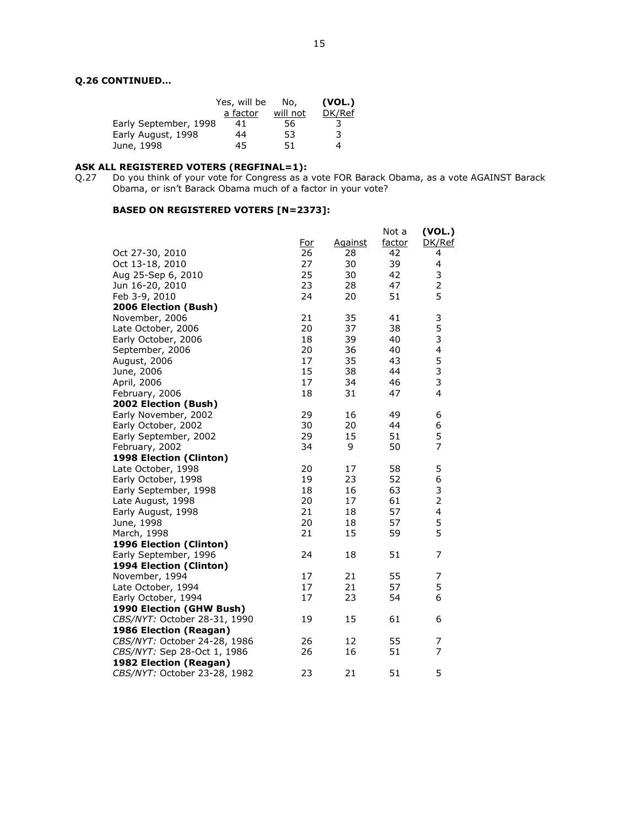# Q.26 CONTINUED…

|                       | Yes, will be | No.      | (VOL.) |
|-----------------------|--------------|----------|--------|
|                       | a factor     | will not | DK/Ref |
| Early September, 1998 | 41           | 56       | 3      |
| Early August, 1998    | 44           | 53       | 3      |
| June, 1998            | 45           | 51       | 4      |

#### ASK ALL REGISTERED VOTERS (REGFINAL=1):

Q.27 Do you think of your vote for Congress as a vote FOR Barack Obama, as a vote AGAINST Barack Obama, or isn't Barack Obama much of a factor in your vote?

|                              |     |                | Not a  | (VOL.)                  |
|------------------------------|-----|----------------|--------|-------------------------|
|                              | For | <b>Against</b> | factor | DK/Ref                  |
| Oct 27-30, 2010              | 26  | 28             | 42     | 4                       |
| Oct 13-18, 2010              | 27  | 30             | 39     | 4                       |
| Aug 25-Sep 6, 2010           | 25  | 30             | 42     | 3                       |
| Jun 16-20, 2010              | 23  | 28             | 47     | 2                       |
| Feb 3-9, 2010                | 24  | 20             | 51     | 5                       |
| 2006 Election (Bush)         |     |                |        |                         |
| November, 2006               | 21  | 35             | 41     | 3                       |
| Late October, 2006           | 20  | 37             | 38     | 5                       |
| Early October, 2006          | 18  | 39             | 40     | 3                       |
| September, 2006              | 20  | 36             | 40     | $\overline{\mathbf{4}}$ |
| August, 2006                 | 17  | 35             | 43     | 5                       |
| June, 2006                   | 15  | 38             | 44     | 3                       |
| April, 2006                  | 17  | 34             | 46     | 3                       |
| February, 2006               | 18  | 31             | 47     | 4                       |
| 2002 Election (Bush)         |     |                |        |                         |
| Early November, 2002         | 29  | 16             | 49     | 6                       |
| Early October, 2002          | 30  | 20             | 44     | 6                       |
| Early September, 2002        | 29  | 15             | 51     | 5                       |
| February, 2002               | 34  | 9              | 50     | $\overline{7}$          |
| 1998 Election (Clinton)      |     |                |        |                         |
| Late October, 1998           | 20  | 17             | 58     | 5                       |
| Early October, 1998          | 19  | 23             | 52     | 6                       |
| Early September, 1998        | 18  | 16             | 63     | 3                       |
| Late August, 1998            | 20  | 17             | 61     | $\overline{2}$          |
| Early August, 1998           | 21  | 18             | 57     | 4                       |
| June, 1998                   | 20  | 18             | 57     | 5                       |
| March, 1998                  | 21  | 15             | 59     | 5                       |
| 1996 Election (Clinton)      |     |                |        |                         |
| Early September, 1996        | 24  | 18             | 51     | 7                       |
| 1994 Election (Clinton)      |     |                |        |                         |
| November, 1994               | 17  | 21             | 55     | 7                       |
| Late October, 1994           | 17  | 21             | 57     | 5                       |
| Early October, 1994          | 17  | 23             | 54     | 6                       |
| 1990 Election (GHW Bush)     |     |                |        |                         |
| CBS/NYT: October 28-31, 1990 | 19  | 15             | 61     | 6                       |
| 1986 Election (Reagan)       |     |                |        |                         |
| CBS/NYT: October 24-28, 1986 | 26  | 12             | 55     | 7                       |
| CBS/NYT: Sep 28-Oct 1, 1986  | 26  | 16             | 51     | 7                       |
| 1982 Election (Reagan)       |     |                |        |                         |
| CBS/NYT: October 23-28, 1982 | 23  | 21             | 51     | 5                       |
|                              |     |                |        |                         |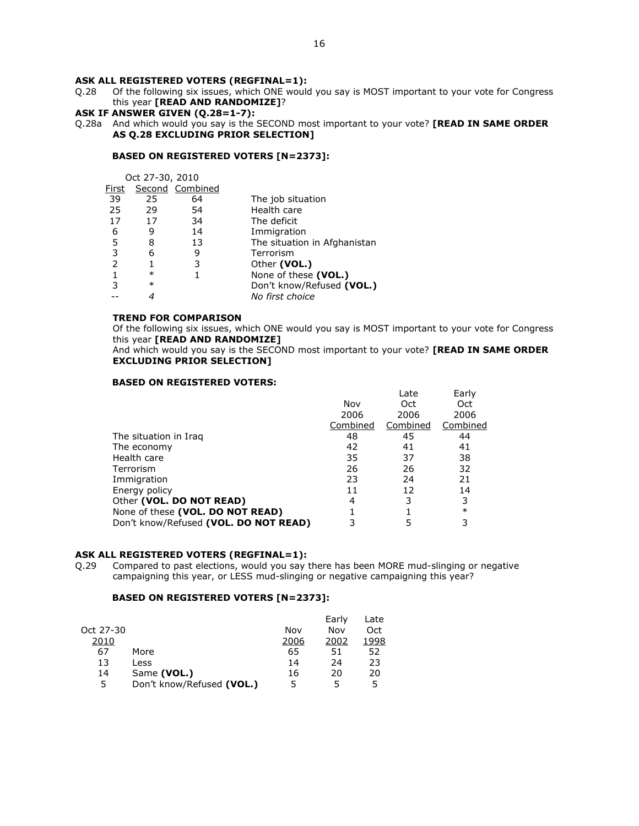Q.28 Of the following six issues, which ONE would you say is MOST important to your vote for Congress this year [READ AND RANDOMIZE]?

# ASK IF ANSWER GIVEN (Q.28=1-7):

Q.28a And which would you say is the SECOND most important to your vote? [READ IN SAME ORDER AS Q.28 EXCLUDING PRIOR SELECTION]

# BASED ON REGISTERED VOTERS [N=2373]:

|       | Oct 27-30, 2010 |                 |                              |
|-------|-----------------|-----------------|------------------------------|
| First |                 | Second Combined |                              |
| 39    | 25              | 64              | The job situation            |
| 25    | 29              | 54              | Health care                  |
| 17    | 17              | 34              | The deficit                  |
| 6     | 9               | 14              | Immigration                  |
| 5     | 8               | 13              | The situation in Afghanistan |
| 3     | 6               | 9               | Terrorism                    |
|       |                 | 3               | Other (VOL.)                 |
|       | $\ast$          |                 | None of these (VOL.)         |
| 3     | $\ast$          |                 | Don't know/Refused (VOL.)    |
|       |                 |                 | No first choice              |

### TREND FOR COMPARISON

Of the following six issues, which ONE would you say is MOST important to your vote for Congress this year [READ AND RANDOMIZE]

And which would you say is the SECOND most important to your vote? [READ IN SAME ORDER EXCLUDING PRIOR SELECTION]

#### BASED ON REGISTERED VOTERS:

|                                       |          | Late     | Early    |
|---------------------------------------|----------|----------|----------|
|                                       | Nov      | Oct.     | Oct      |
|                                       | 2006     | 2006     | 2006     |
|                                       | Combined | Combined | Combined |
| The situation in Iraq                 | 48       | 45       | 44       |
| The economy                           | 42       | 41       | 41       |
| Health care                           | 35       | 37       | 38       |
| Terrorism                             | 26       | 26       | 32       |
| Immigration                           | 23       | 24       | 21       |
| Energy policy                         | 11       | 12       | 14       |
| Other (VOL. DO NOT READ)              | 4        | 3        | 3        |
| None of these (VOL. DO NOT READ)      |          |          | $\ast$   |
| Don't know/Refused (VOL. DO NOT READ) | 3        |          |          |
|                                       |          |          |          |

### ASK ALL REGISTERED VOTERS (REGFINAL=1):

Q.29 Compared to past elections, would you say there has been MORE mud-slinging or negative campaigning this year, or LESS mud-slinging or negative campaigning this year?

|           |                           |      | Early | Late |
|-----------|---------------------------|------|-------|------|
| Oct 27-30 |                           | Nov  | Nov   | Oct  |
| 2010      |                           | 2006 | 2002  | 1998 |
| 67        | More                      | 65   | 51    | 52   |
| 13        | Less                      | 14   | 24    | 23   |
| 14        | Same (VOL.)               | 16   | 20    | 20   |
| 5         | Don't know/Refused (VOL.) | 5    | 5     | 5    |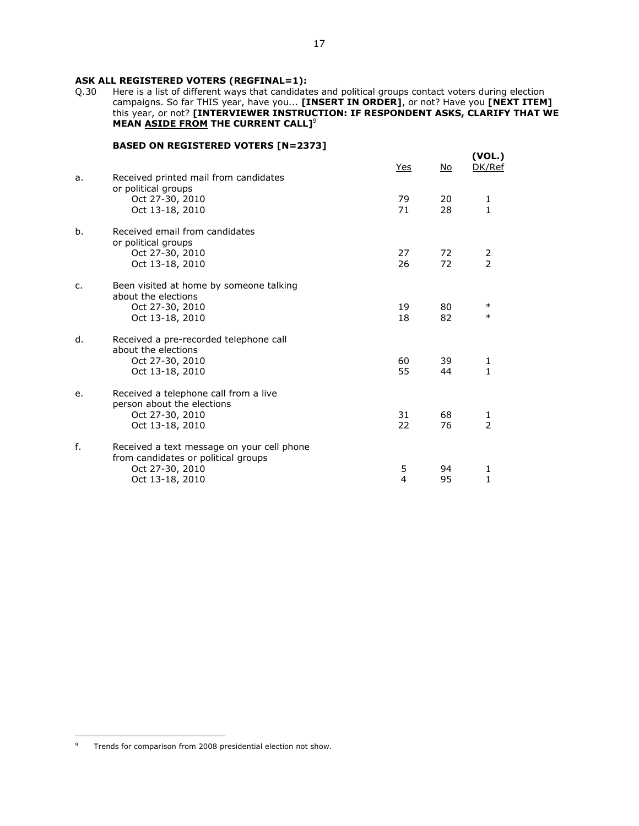# ASK ALL REGISTERED VOTERS (REGFINAL=1):<br>Q.30 Here is a list of different ways that candidate

Here is a list of different ways that candidates and political groups contact voters during election campaigns. So far THIS year, have you... [INSERT IN ORDER], or not? Have you [NEXT ITEM] this year, or not? [INTERVIEWER INSTRUCTION: IF RESPONDENT ASKS, CLARIFY THAT WE MEAN ASIDE FROM THE CURRENT CALL]<sup>9</sup>

# BASED ON REGISTERED VOTERS [N=2373]

| or political groups                                                                                                           | 79<br>71 | 20       | 1                   |
|-------------------------------------------------------------------------------------------------------------------------------|----------|----------|---------------------|
| Oct 27-30, 2010<br>Oct 13-18, 2010                                                                                            |          | 28       | 1                   |
| Received email from candidates<br>b.<br>or political groups<br>Oct 27-30, 2010<br>Oct 13-18, 2010                             | 27<br>26 | 72<br>72 | $\frac{2}{2}$       |
| Been visited at home by someone talking<br>c.<br>about the elections<br>Oct 27-30, 2010<br>Oct 13-18, 2010                    | 19<br>18 | 80<br>82 | $\ast$<br>$\ast$    |
| Received a pre-recorded telephone call<br>d.<br>about the elections<br>Oct 27-30, 2010<br>Oct 13-18, 2010                     | 60<br>55 | 39<br>44 | 1<br>$\mathbf{1}$   |
| Received a telephone call from a live<br>e.<br>person about the elections<br>Oct 27-30, 2010<br>Oct 13-18, 2010               | 31<br>22 | 68<br>76 | 1<br>$\overline{2}$ |
| f.<br>Received a text message on your cell phone<br>from candidates or political groups<br>Oct 27-30, 2010<br>Oct 13-18, 2010 | 5<br>4   | 94<br>95 | 1<br>$\mathbf{1}$   |

<sup>9</sup> Trends for comparison from 2008 presidential election not show.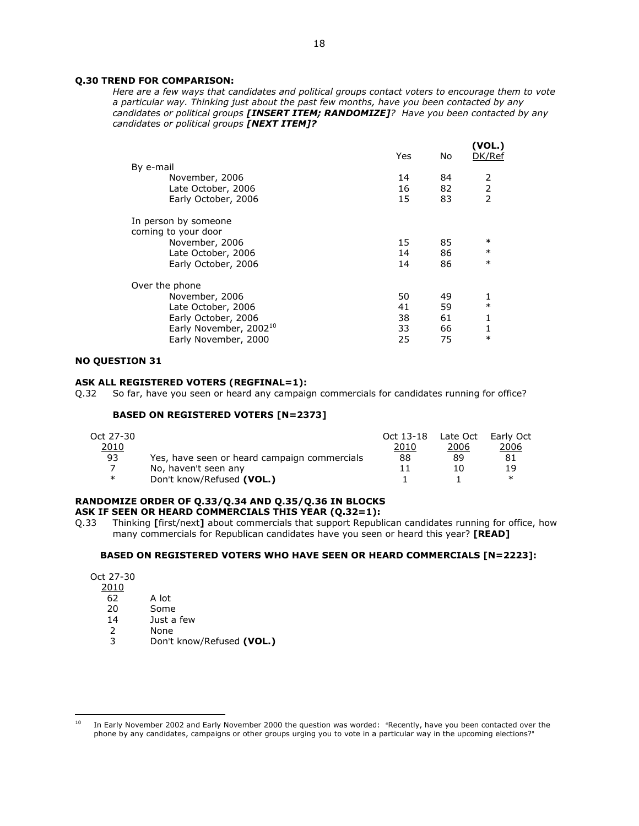# Q.30 TREND FOR COMPARISON:

Here are a few ways that candidates and political groups contact voters to encourage them to vote a particular way. Thinking just about the past few months, have you been contacted by any candidates or political groups [INSERT ITEM; RANDOMIZE]? Have you been contacted by any candidates or political groups [NEXT ITEM]?

| By e-mail                                   | Yes | No. | (VOL.)<br>DK/Ref |
|---------------------------------------------|-----|-----|------------------|
| November, 2006                              | 14  | 84  | 2                |
| Late October, 2006                          | 16  | 82  | $\frac{2}{2}$    |
| Early October, 2006                         | 15  | 83  |                  |
| In person by someone<br>coming to your door |     |     |                  |
| November, 2006                              | 15  | 85  | $\ast$           |
| Late October, 2006                          | 14  | 86  | $\ast$           |
| Early October, 2006                         | 14  | 86  | $\ast$           |
| Over the phone                              |     |     |                  |
| November, 2006                              | 50  | 49  |                  |
| Late October, 2006                          | 41  | 59  | $\ast$           |
| Early October, 2006                         | 38  | 61  | 1                |
| Early November, 2002 <sup>10</sup>          | 33  | 66  | 1                |
| Early November, 2000                        | 25  | 75  | $\ast$           |
|                                             |     |     |                  |

# NO QUESTION 31

#### ASK ALL REGISTERED VOTERS (REGFINAL=1):

Q.32 So far, have you seen or heard any campaign commercials for candidates running for office?

#### BASED ON REGISTERED VOTERS [N=2373]

| Oct 27-30 |                                              | Oct 13-18 | Late Oct | Early Oct |
|-----------|----------------------------------------------|-----------|----------|-----------|
| 2010      |                                              | 2010      | 2006     | 2006      |
| 93        | Yes, have seen or heard campaign commercials | 88        | 89       | 81        |
|           | No, haven't seen any                         |           | 1 ()     | 19        |
| $\ast$    | Don't know/Refused (VOL.)                    |           |          | ∗         |

#### RANDOMIZE ORDER OF Q.33/Q.34 AND Q.35/Q.36 IN BLOCKS ASK IF SEEN OR HEARD COMMERCIALS THIS YEAR (Q.32=1):

Q.33 Thinking [first/next] about commercials that support Republican candidates running for office, how many commercials for Republican candidates have you seen or heard this year? [READ]

#### BASED ON REGISTERED VOTERS WHO HAVE SEEN OR HEARD COMMERCIALS [N=2223]:

| Oct 27-30 |  |
|-----------|--|
| 2010      |  |

- 62 A lot<br>20 Some
- 20 Some<br>14 Just a
- 14 Just a few<br>2 None
- **None**
- 3 Don't know/Refused (VOL.)

 $10$  In Early November 2002 and Early November 2000 the question was worded: "Recently, have you been contacted over the phone by any candidates, campaigns or other groups urging you to vote in a particular way in the upcoming elections?"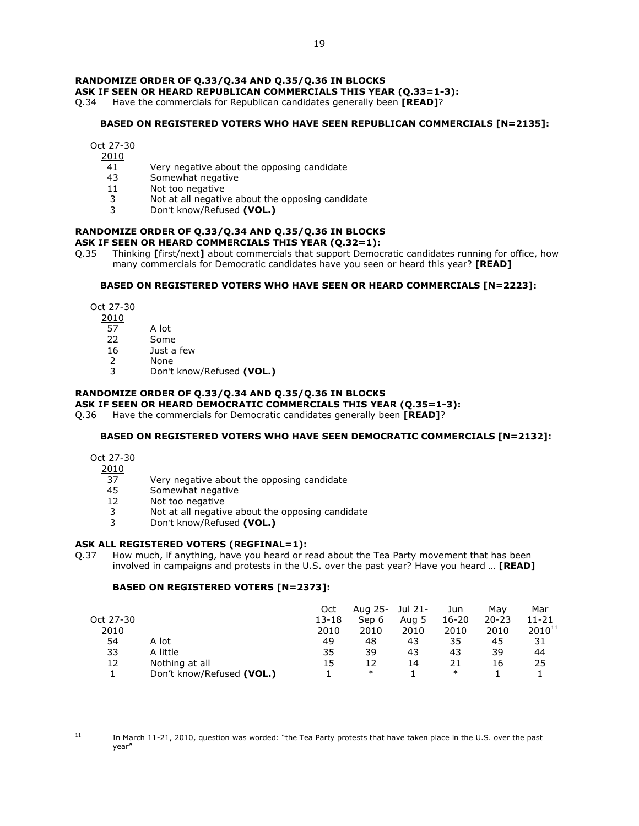# RANDOMIZE ORDER OF Q.33/Q.34 AND Q.35/Q.36 IN BLOCKS

# ASK IF SEEN OR HEARD REPUBLICAN COMMERCIALS THIS YEAR (Q.33=1-3):

Q.34 Have the commercials for Republican candidates generally been **[READ]**?

#### BASED ON REGISTERED VOTERS WHO HAVE SEEN REPUBLICAN COMMERCIALS [N=2135]:

Oct 27-30

- 2010
	- 41 Very negative about the opposing candidate
	- 43 Somewhat negative<br>11 Not too negative
	- Not too negative
	- 3 Not at all negative about the opposing candidate
	- 3 Don't know/Refused (VOL.)

#### RANDOMIZE ORDER OF Q.33/Q.34 AND Q.35/Q.36 IN BLOCKS ASK IF SEEN OR HEARD COMMERCIALS THIS YEAR (Q.32=1):

Q.35 Thinking [first/next] about commercials that support Democratic candidates running for office, how many commercials for Democratic candidates have you seen or heard this year? [READ]

#### BASED ON REGISTERED VOTERS WHO HAVE SEEN OR HEARD COMMERCIALS [N=2223]:

Oct 27-30

- 
- $\frac{2010}{57}$ A lot
- 22 Some
- 16 Just a few
- 2 None<br>3 Don't
- Don't know/Refused (VOL.)

### RANDOMIZE ORDER OF Q.33/Q.34 AND Q.35/Q.36 IN BLOCKS

### ASK IF SEEN OR HEARD DEMOCRATIC COMMERCIALS THIS YEAR (Q.35=1-3):

Q.36 Have the commercials for Democratic candidates generally been [READ]?

# BASED ON REGISTERED VOTERS WHO HAVE SEEN DEMOCRATIC COMMERCIALS [N=2132]:

Oct 27-30

 $\frac{2010}{37}$ 

- Very negative about the opposing candidate
- 45 Somewhat negative
- 12 Not too negative
- 3 Not at all negative about the opposing candidate<br>3 Don't know/Pefused (VOL)
- Don't know/Refused (VOL.)

# ASK ALL REGISTERED VOTERS (REGFINAL=1):

Q.37 How much, if anything, have you heard or read about the Tea Party movement that has been involved in campaigns and protests in the U.S. over the past year? Have you heard … [READ]

|           |                           | Oct   | Aug 25- | Jul 21- | Jun    | Mav       | Mar         |
|-----------|---------------------------|-------|---------|---------|--------|-----------|-------------|
| Oct 27-30 |                           | 13-18 | Sep 6   | Aug 5   | 16-20  | $20 - 23$ | 11-21       |
| 2010      |                           | 2010  | 2010    | 2010    | 2010   | 2010      | $2010^{11}$ |
| 54        | A lot                     | 49    | 48      | 43      | 35     | 45        | 31          |
| 33        | A little                  | 35    | 39      | 43      | 43     | 39        | 44          |
| 12        | Nothing at all            | 15    | 12      | 14      |        | 16        | 25          |
|           | Don't know/Refused (VOL.) |       | $\ast$  |         | $\ast$ |           |             |
|           |                           |       |         |         |        |           |             |

 $\overline{a}$ 

 $11$  In March 11-21, 2010, question was worded: "the Tea Party protests that have taken place in the U.S. over the past year"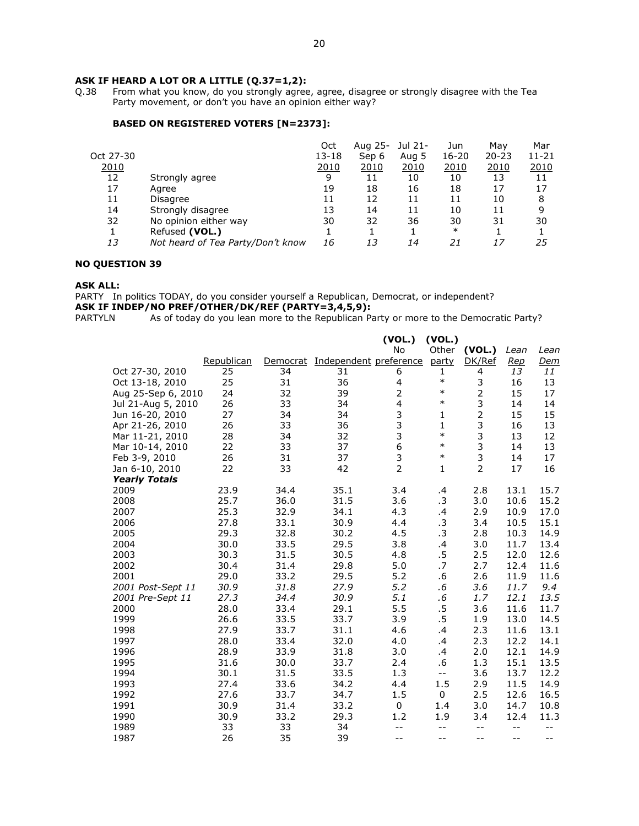# ASK IF HEARD A LOT OR A LITTLE (Q.37=1,2):<br>Q.38 From what you know, do you strongly agree

From what you know, do you strongly agree, agree, disagree or strongly disagree with the Tea Party movement, or don't you have an opinion either way?

# BASED ON REGISTERED VOTERS [N=2373]:

|           |                                   | Oct   | Aug 25- Jul 21- |       | Jun       | May       | Mar       |
|-----------|-----------------------------------|-------|-----------------|-------|-----------|-----------|-----------|
| Oct 27-30 |                                   | 13-18 | Sep 6           | Aug 5 | $16 - 20$ | $20 - 23$ | $11 - 21$ |
| 2010      |                                   | 2010  | <u> 2010</u>    | 2010  | 2010      | 2010      | 2010      |
| 12        | Strongly agree                    | 9     | 11              | 10    | 10        | 13        | 11        |
| 17        | Aaree                             | 19    | 18              | 16    | 18        | 17        | 17        |
| 11        | Disagree                          | 11    | 12              | 11    | 11        | 10        | 8         |
| 14        | Strongly disagree                 | 13    | 14              | 11    | 10        | 11        | 9         |
| 32        | No opinion either way             | 30    | 32              | 36    | 30        | 31        | 30        |
|           | Refused (VOL.)                    |       |                 |       | $\ast$    |           |           |
| 13        | Not heard of Tea Party/Don't know | 16    | 13              | 14    | 21        | 17        | 25        |

# NO QUESTION 39

#### ASK ALL:

PARTY In politics TODAY, do you consider yourself a Republican, Democrat, or independent?

# ASK IF INDEP/NO PREF/OTHER/DK/REF (PARTY=3,4,5,9):<br>PARTYLN As of today do you lean more to the Republican Pa

As of today do you lean more to the Republican Party or more to the Democratic Party?

|                      |            |      |                                 | (VOL.)         | (VOL.)       |                |            |            |
|----------------------|------------|------|---------------------------------|----------------|--------------|----------------|------------|------------|
|                      |            |      |                                 | <b>No</b>      | Other        | (VOL.)         | Lean       | Lean       |
|                      | Republican |      | Democrat Independent preference |                | party        | DK/Ref         | <u>Rep</u> | <u>Dem</u> |
| Oct 27-30, 2010      | 25         | 34   | 31                              | 6              | $\mathbf{1}$ | 4              | 13         | 11         |
| Oct 13-18, 2010      | 25         | 31   | 36                              | 4              | $\ast$       | 3              | 16         | 13         |
| Aug 25-Sep 6, 2010   | 24         | 32   | 39                              | $\overline{2}$ | $\ast$       | $\overline{2}$ | 15         | 17         |
| Jul 21-Aug 5, 2010   | 26         | 33   | 34                              | 4              | $\ast$       | 3              | 14         | 14         |
| Jun 16-20, 2010      | 27         | 34   | 34                              | 3              | $\mathbf{1}$ | $\overline{2}$ | 15         | 15         |
| Apr 21-26, 2010      | 26         | 33   | 36                              | 3              | $\mathbf{1}$ | 3              | 16         | 13         |
| Mar 11-21, 2010      | 28         | 34   | 32                              | 3              | $\ast$       | 3              | 13         | 12         |
| Mar 10-14, 2010      | 22         | 33   | 37                              | 6              | $\ast$       | 3              | 14         | 13         |
| Feb 3-9, 2010        | 26         | 31   | 37                              | $\frac{3}{2}$  | $\ast$       | 3              | 14         | 17         |
| Jan 6-10, 2010       | 22         | 33   | 42                              |                | $\mathbf{1}$ | $\overline{2}$ | 17         | 16         |
| <b>Yearly Totals</b> |            |      |                                 |                |              |                |            |            |
| 2009                 | 23.9       | 34.4 | 35.1                            | 3.4            | .4           | 2.8            | 13.1       | 15.7       |
| 2008                 | 25.7       | 36.0 | 31.5                            | 3.6            | $\cdot$ 3    | 3.0            | 10.6       | 15.2       |
| 2007                 | 25.3       | 32.9 | 34.1                            | 4.3            | .4           | 2.9            | 10.9       | 17.0       |
| 2006                 | 27.8       | 33.1 | 30.9                            | 4.4            | $\cdot$ 3    | 3.4            | 10.5       | 15.1       |
| 2005                 | 29.3       | 32.8 | 30.2                            | 4.5            | $\cdot$ 3    | 2.8            | 10.3       | 14.9       |
| 2004                 | 30.0       | 33.5 | 29.5                            | 3.8            | .4           | 3.0            | 11.7       | 13.4       |
| 2003                 | 30.3       | 31.5 | 30.5                            | 4.8            | $.5\,$       | 2.5            | 12.0       | 12.6       |
| 2002                 | 30.4       | 31.4 | 29.8                            | 5.0            | .7           | 2.7            | 12.4       | 11.6       |
| 2001                 | 29.0       | 33.2 | 29.5                            | 5.2            | .6           | 2.6            | 11.9       | 11.6       |
| 2001 Post-Sept 11    | 30.9       | 31.8 | 27.9                            | 5.2            | $.6\,$       | 3.6            | 11.7       | 9.4        |
| 2001 Pre-Sept 11     | 27.3       | 34.4 | 30.9                            | 5.1            | $.6\,$       | 1.7            | 12.1       | 13.5       |
| 2000                 | 28.0       | 33.4 | 29.1                            | 5.5            | $.5\,$       | 3.6            | 11.6       | 11.7       |
| 1999                 | 26.6       | 33.5 | 33.7                            | 3.9            | $.5\,$       | 1.9            | 13.0       | 14.5       |
| 1998                 | 27.9       | 33.7 | 31.1                            | 4.6            | .4           | 2.3            | 11.6       | 13.1       |
| 1997                 | 28.0       | 33.4 | 32.0                            | 4.0            | .4           | 2.3            | 12.2       | 14.1       |
| 1996                 | 28.9       | 33.9 | 31.8                            | 3.0            | .4           | 2.0            | 12.1       | 14.9       |
| 1995                 | 31.6       | 30.0 | 33.7                            | 2.4            | .6           | 1.3            | 15.1       | 13.5       |
| 1994                 | 30.1       | 31.5 | 33.5                            | 1.3            | $- -$        | 3.6            | 13.7       | 12.2       |
| 1993                 | 27.4       | 33.6 | 34.2                            | 4.4            | 1.5          | 2.9            | 11.5       | 14.9       |
| 1992                 | 27.6       | 33.7 | 34.7                            | 1.5            | 0            | 2.5            | 12.6       | 16.5       |
| 1991                 | 30.9       | 31.4 | 33.2                            | 0              | 1.4          | 3.0            | 14.7       | 10.8       |
| 1990                 | 30.9       | 33.2 | 29.3                            | 1.2            | 1.9          | 3.4            | 12.4       | 11.3       |
| 1989                 | 33         | 33   | 34                              | --             | --           | $-$            | $- -$      | $- -$      |
| 1987                 | 26         | 35   | 39                              | $-$            | --           | $-$            | $- -$      | $-$        |